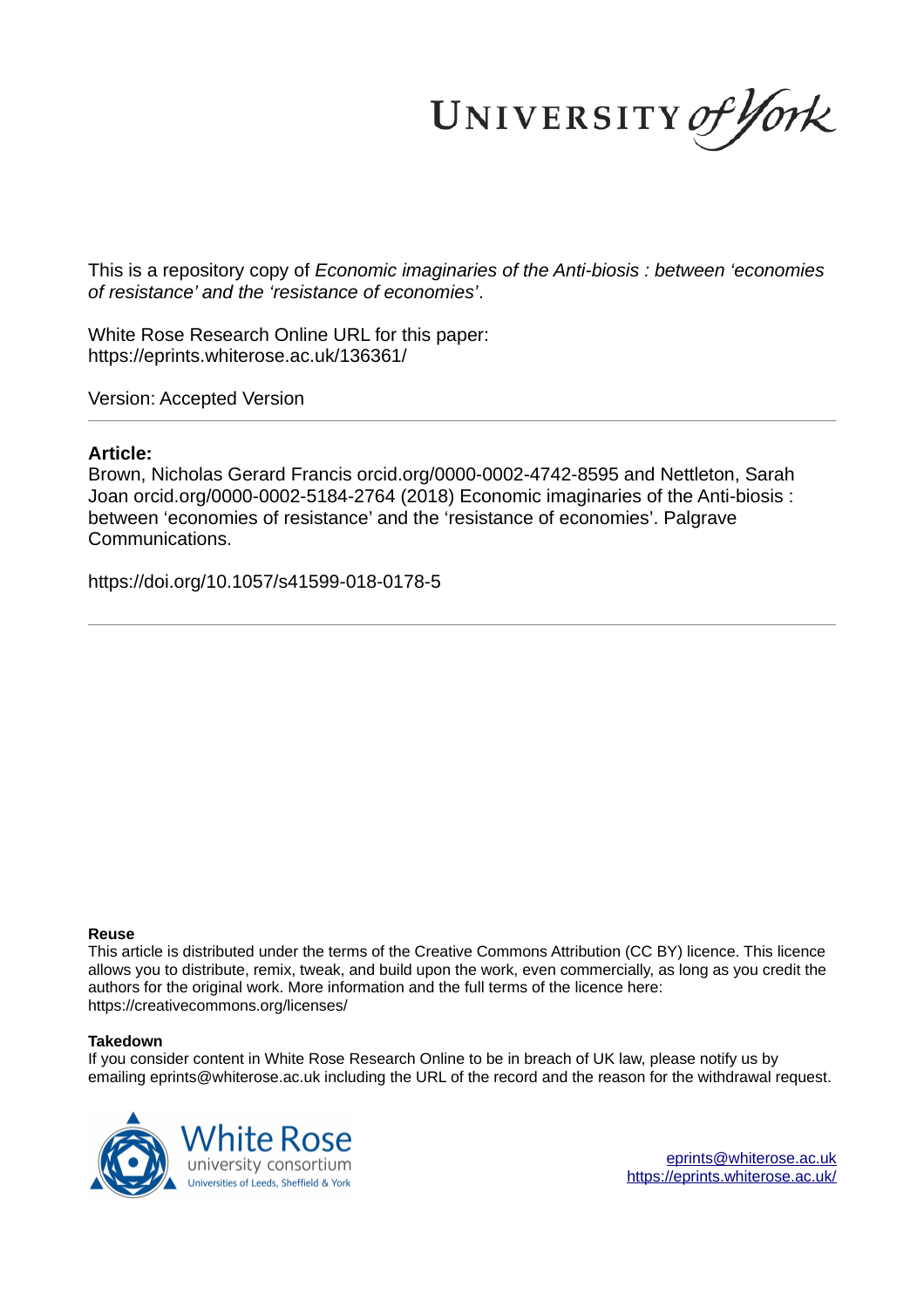UNIVERSITY of York

This is a repository copy of *Economic imaginaries of the Anti-biosis : between 'economies of resistance' and the 'resistance of economies'*.

White Rose Research Online URL for this paper: https://eprints.whiterose.ac.uk/136361/

Version: Accepted Version

## **Article:**

Brown, Nicholas Gerard Francis orcid.org/0000-0002-4742-8595 and Nettleton, Sarah Joan orcid.org/0000-0002-5184-2764 (2018) Economic imaginaries of the Anti-biosis : between 'economies of resistance' and the 'resistance of economies'. Palgrave Communications.

https://doi.org/10.1057/s41599-018-0178-5

#### **Reuse**

This article is distributed under the terms of the Creative Commons Attribution (CC BY) licence. This licence allows you to distribute, remix, tweak, and build upon the work, even commercially, as long as you credit the authors for the original work. More information and the full terms of the licence here: https://creativecommons.org/licenses/

#### **Takedown**

If you consider content in White Rose Research Online to be in breach of UK law, please notify us by emailing eprints@whiterose.ac.uk including the URL of the record and the reason for the withdrawal request.

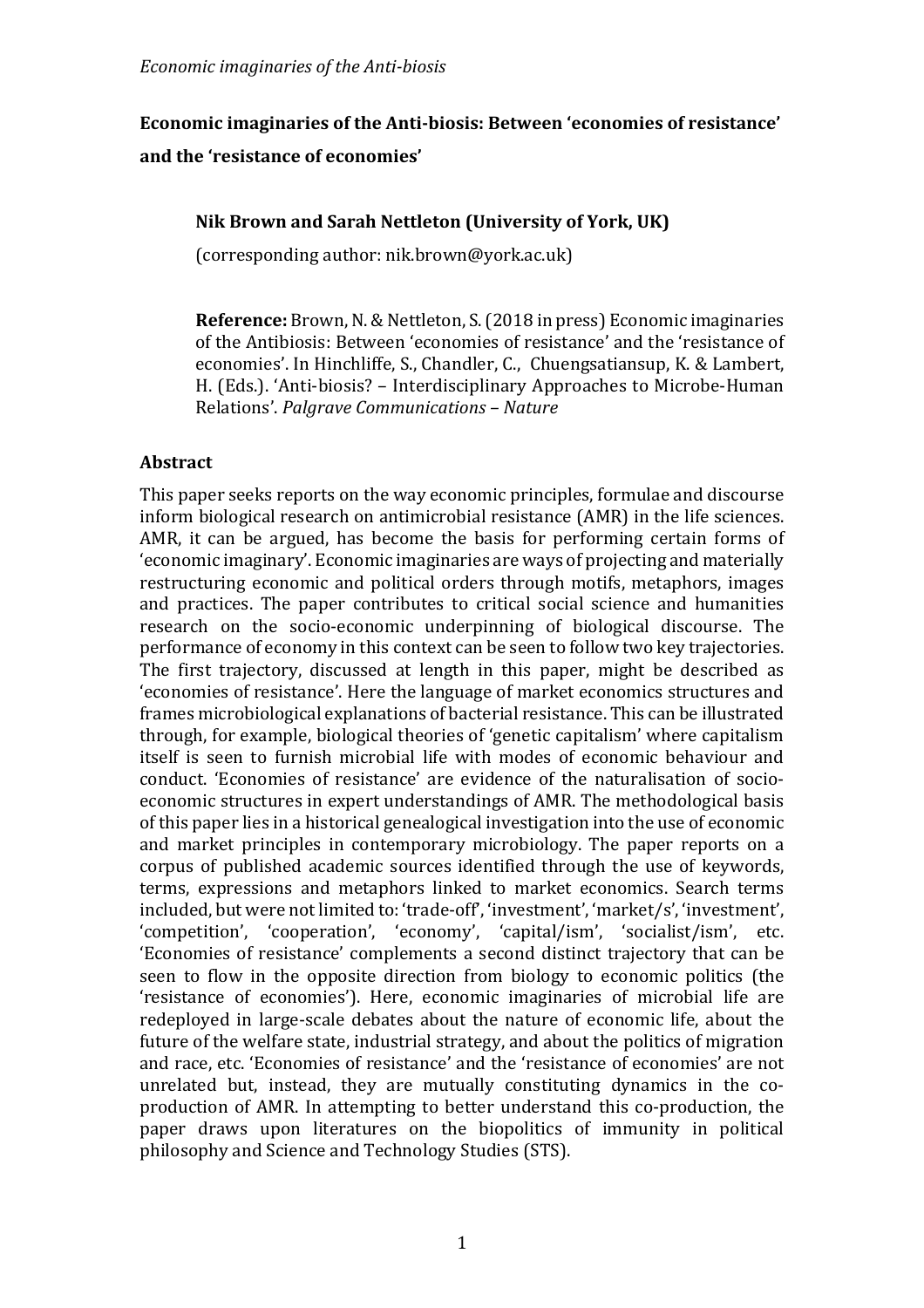# **Economic imaginaries of the Anti-biosis: Between 'economies of resistance'** and the 'resistance of economies'

# **Nik Brown and Sarah Nettleton (University of York, UK)**

(corresponding author: nik.brown@york.ac.uk)

**Reference:** Brown, N. & Nettleton, S. (2018 in press) Economic imaginaries of the Antibiosis: Between 'economies of resistance' and the 'resistance of economies'. In Hinchliffe, S., Chandler, C., Chuengsatiansup, K. & Lambert, H. (Eds.). 'Anti-biosis? – Interdisciplinary Approaches to Microbe-Human Relations'. *Palgrave Communications – Nature*

# **Abstract**

This paper seeks reports on the way economic principles, formulae and discourse inform biological research on antimicrobial resistance (AMR) in the life sciences. AMR, it can be argued, has become the basis for performing certain forms of 'economic imaginary'. Economic imaginaries are ways of projecting and materially restructuring economic and political orders through motifs, metaphors, images and practices. The paper contributes to critical social science and humanities research on the socio-economic underpinning of biological discourse. The performance of economy in this context can be seen to follow two key trajectories. The first trajectory, discussed at length in this paper, might be described as 'economies of resistance'. Here the language of market economics structures and frames microbiological explanations of bacterial resistance. This can be illustrated through, for example, biological theories of 'genetic capitalism' where capitalism itself is seen to furnish microbial life with modes of economic behaviour and conduct. 'Economies of resistance' are evidence of the naturalisation of socioeconomic structures in expert understandings of AMR. The methodological basis of this paper lies in a historical genealogical investigation into the use of economic and market principles in contemporary microbiology. The paper reports on a corpus of published academic sources identified through the use of keywords, terms, expressions and metaphors linked to market economics. Search terms included, but were not limited to: 'trade-off', 'investment', 'market/s', 'investment', 'competition', 'cooperation', 'economy', 'capital/ism', 'socialist/ism', etc. 'Economies of resistance' complements a second distinct trajectory that can be seen to flow in the opposite direction from biology to economic politics (the 'resistance of economies'). Here, economic imaginaries of microbial life are redeployed in large-scale debates about the nature of economic life, about the future of the welfare state, industrial strategy, and about the politics of migration and race, etc. 'Economies of resistance' and the 'resistance of economies' are not unrelated but, instead, they are mutually constituting dynamics in the coproduction of AMR. In attempting to better understand this co-production, the paper draws upon literatures on the biopolitics of immunity in political philosophy and Science and Technology Studies (STS).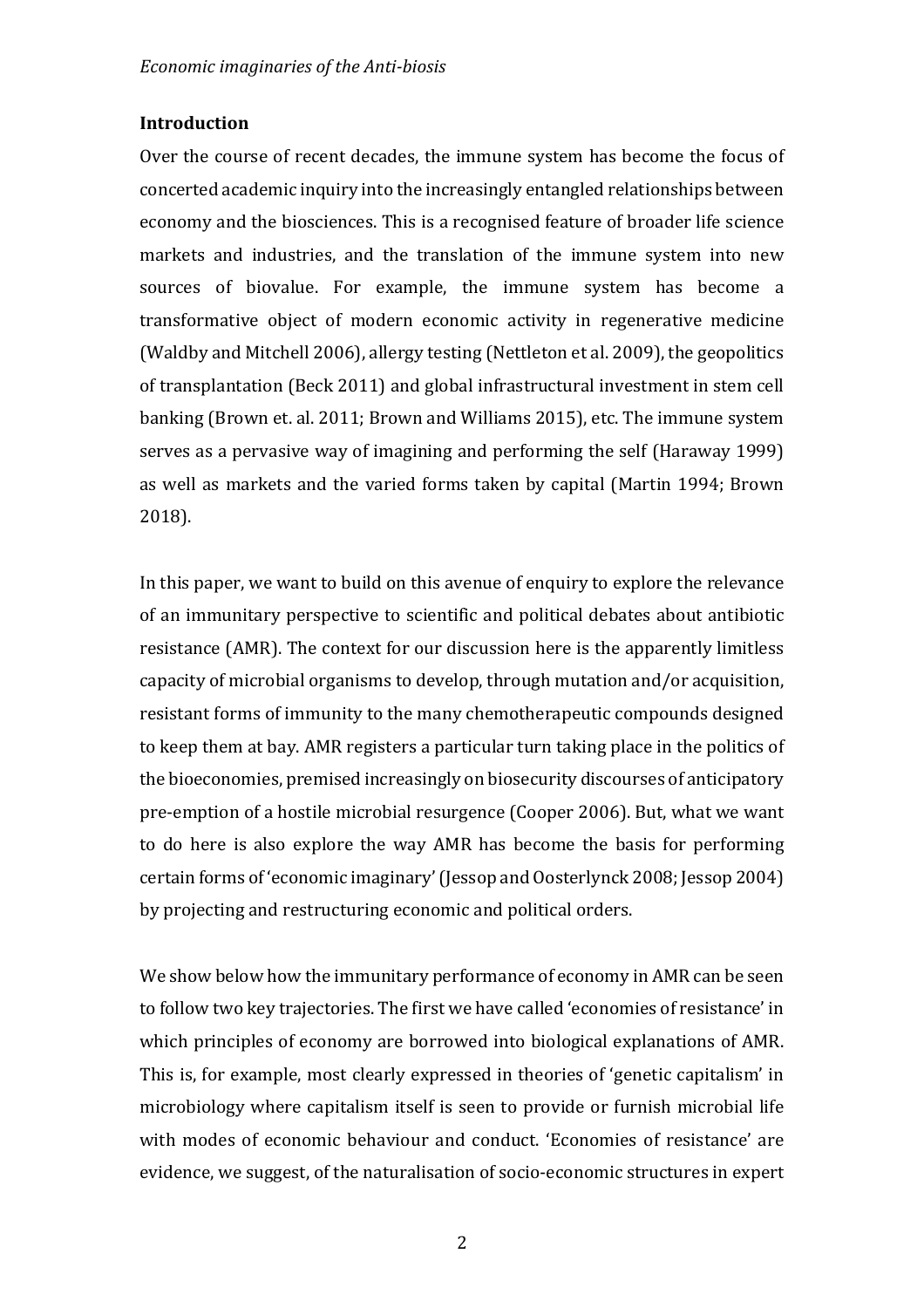# **Introduction**

Over the course of recent decades, the immune system has become the focus of concerted academic inquiry into the increasingly entangled relationships between economy and the biosciences. This is a recognised feature of broader life science markets and industries, and the translation of the immune system into new sources of biovalue. For example, the immune system has become a transformative object of modern economic activity in regenerative medicine (Waldby and Mitchell 2006), allergy testing (Nettleton et al. 2009), the geopolitics of transplantation (Beck 2011) and global infrastructural investment in stem cell banking (Brown et. al. 2011; Brown and Williams 2015), etc. The immune system serves as a pervasive way of imagining and performing the self (Haraway 1999) as well as markets and the varied forms taken by capital (Martin 1994; Brown 2018). 

In this paper, we want to build on this avenue of enquiry to explore the relevance of an immunitary perspective to scientific and political debates about antibiotic resistance (AMR). The context for our discussion here is the apparently limitless capacity of microbial organisms to develop, through mutation and/or acquisition, resistant forms of immunity to the many chemotherapeutic compounds designed to keep them at bay. AMR registers a particular turn taking place in the politics of the bioeconomies, premised increasingly on biosecurity discourses of anticipatory pre-emption of a hostile microbial resurgence (Cooper 2006). But, what we want to do here is also explore the way AMR has become the basis for performing certain forms of 'economic imaginary' (Jessop and Oosterlynck 2008; Jessop 2004) by projecting and restructuring economic and political orders.

We show below how the immunitary performance of economy in AMR can be seen to follow two key trajectories. The first we have called 'economies of resistance' in which principles of economy are borrowed into biological explanations of AMR. This is, for example, most clearly expressed in theories of 'genetic capitalism' in microbiology where capitalism itself is seen to provide or furnish microbial life with modes of economic behaviour and conduct. 'Economies of resistance' are evidence, we suggest, of the naturalisation of socio-economic structures in expert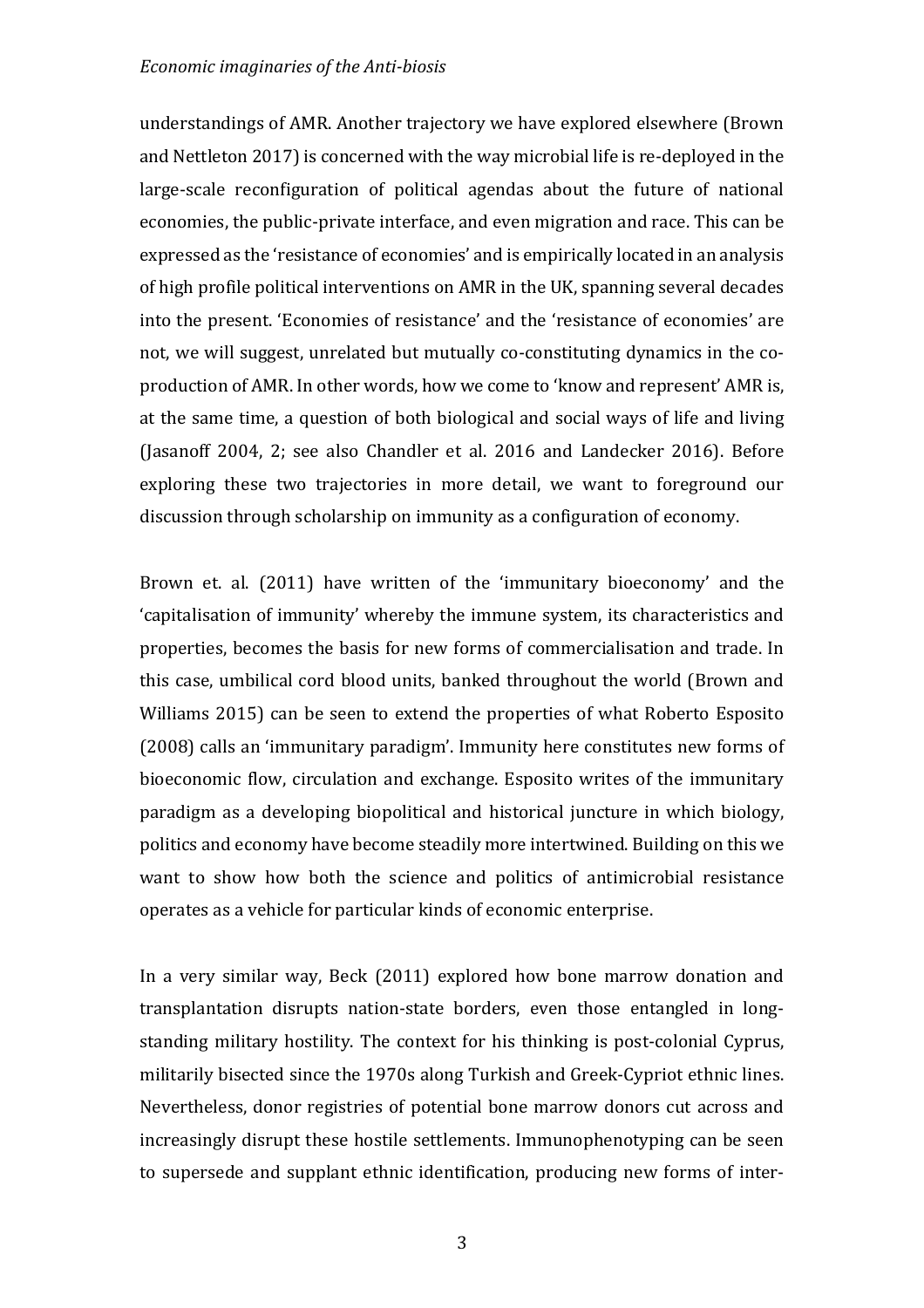understandings of AMR. Another trajectory we have explored elsewhere (Brown and Nettleton 2017) is concerned with the way microbial life is re-deployed in the large-scale reconfiguration of political agendas about the future of national economies, the public-private interface, and even migration and race. This can be expressed as the 'resistance of economies' and is empirically located in an analysis of high profile political interventions on AMR in the UK, spanning several decades into the present. 'Economies of resistance' and the 'resistance of economies' are not, we will suggest, unrelated but mutually co-constituting dynamics in the coproduction of AMR. In other words, how we come to 'know and represent' AMR is, at the same time, a question of both biological and social ways of life and living (Jasanoff 2004, 2; see also Chandler et al. 2016 and Landecker 2016). Before exploring these two trajectories in more detail, we want to foreground our discussion through scholarship on immunity as a configuration of economy.

Brown et. al. (2011) have written of the 'immunitary bioeconomy' and the 'capitalisation of immunity' whereby the immune system, its characteristics and properties, becomes the basis for new forms of commercialisation and trade. In this case, umbilical cord blood units, banked throughout the world (Brown and Williams 2015) can be seen to extend the properties of what Roberto Esposito (2008) calls an 'immunitary paradigm'. Immunity here constitutes new forms of bioeconomic flow, circulation and exchange. Esposito writes of the immunitary paradigm as a developing biopolitical and historical juncture in which biology, politics and economy have become steadily more intertwined. Building on this we want to show how both the science and politics of antimicrobial resistance operates as a vehicle for particular kinds of economic enterprise.

In a very similar way, Beck (2011) explored how bone marrow donation and transplantation disrupts nation-state borders, even those entangled in longstanding military hostility. The context for his thinking is post-colonial Cyprus, militarily bisected since the 1970s along Turkish and Greek-Cypriot ethnic lines. Nevertheless, donor registries of potential bone marrow donors cut across and increasingly disrupt these hostile settlements. Immunophenotyping can be seen to supersede and supplant ethnic identification, producing new forms of inter-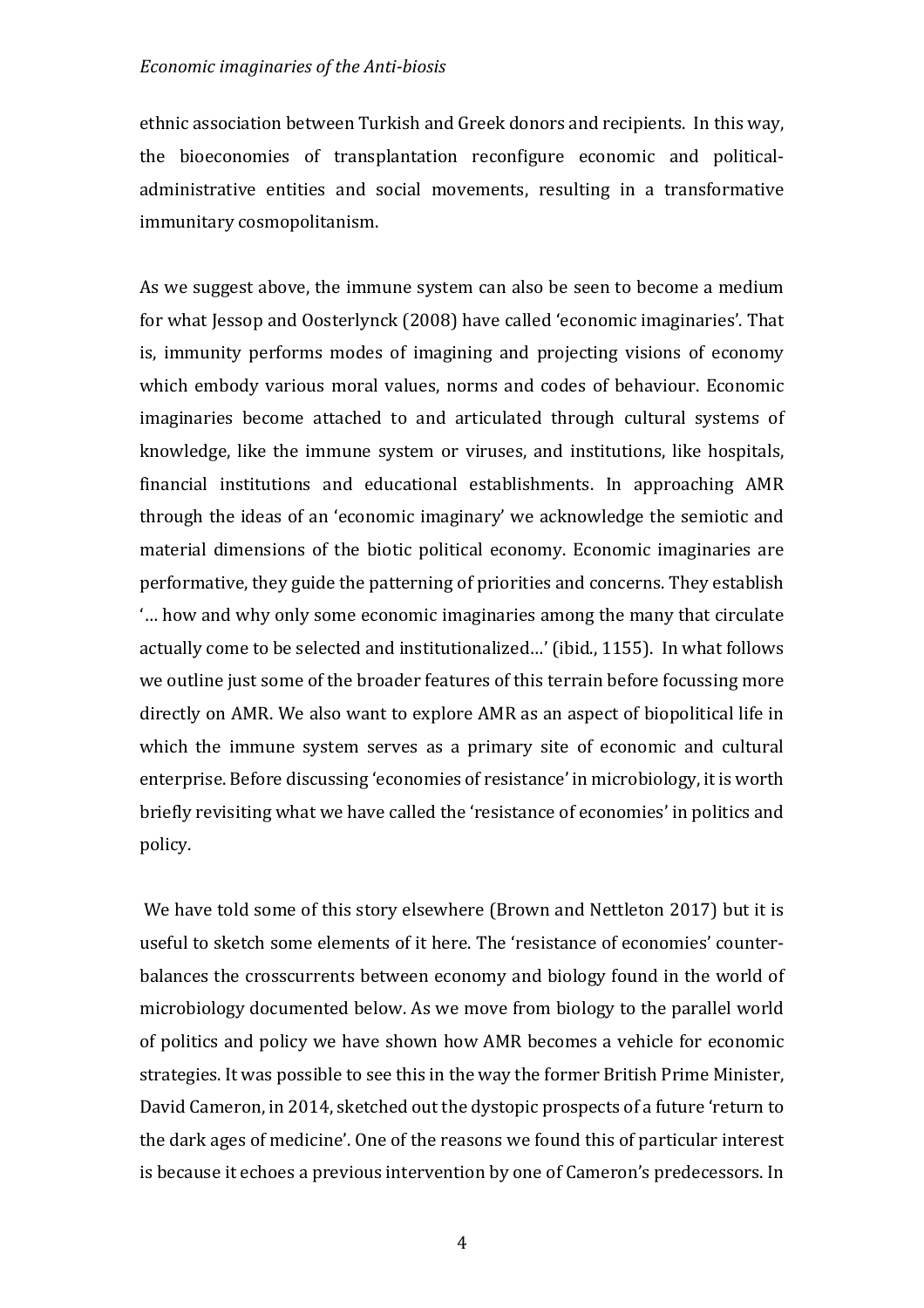ethnic association between Turkish and Greek donors and recipients. In this way, the bioeconomies of transplantation reconfigure economic and politicaladministrative entities and social movements, resulting in a transformative immunitary cosmopolitanism.

As we suggest above, the immune system can also be seen to become a medium for what lessop and Oosterlynck (2008) have called 'economic imaginaries'. That is, immunity performs modes of imagining and projecting visions of economy which embody various moral values, norms and codes of behaviour. Economic imaginaries become attached to and articulated through cultural systems of knowledge, like the immune system or viruses, and institutions, like hospitals, financial institutions and educational establishments. In approaching AMR through the ideas of an 'economic imaginary' we acknowledge the semiotic and material dimensions of the biotic political economy. Economic imaginaries are performative, they guide the patterning of priorities and concerns. They establish "... how and why only some economic imaginaries among the many that circulate actually come to be selected and institutionalized...' (ibid., 1155). In what follows we outline just some of the broader features of this terrain before focussing more directly on AMR. We also want to explore AMR as an aspect of biopolitical life in which the immune system serves as a primary site of economic and cultural enterprise. Before discussing 'economies of resistance' in microbiology, it is worth briefly revisiting what we have called the 'resistance of economies' in politics and policy. 

We have told some of this story elsewhere (Brown and Nettleton 2017) but it is useful to sketch some elements of it here. The 'resistance of economies' counterbalances the crosscurrents between economy and biology found in the world of microbiology documented below. As we move from biology to the parallel world of politics and policy we have shown how AMR becomes a vehicle for economic strategies. It was possible to see this in the way the former British Prime Minister, David Cameron, in 2014, sketched out the dystopic prospects of a future 'return to the dark ages of medicine'. One of the reasons we found this of particular interest is because it echoes a previous intervention by one of Cameron's predecessors. In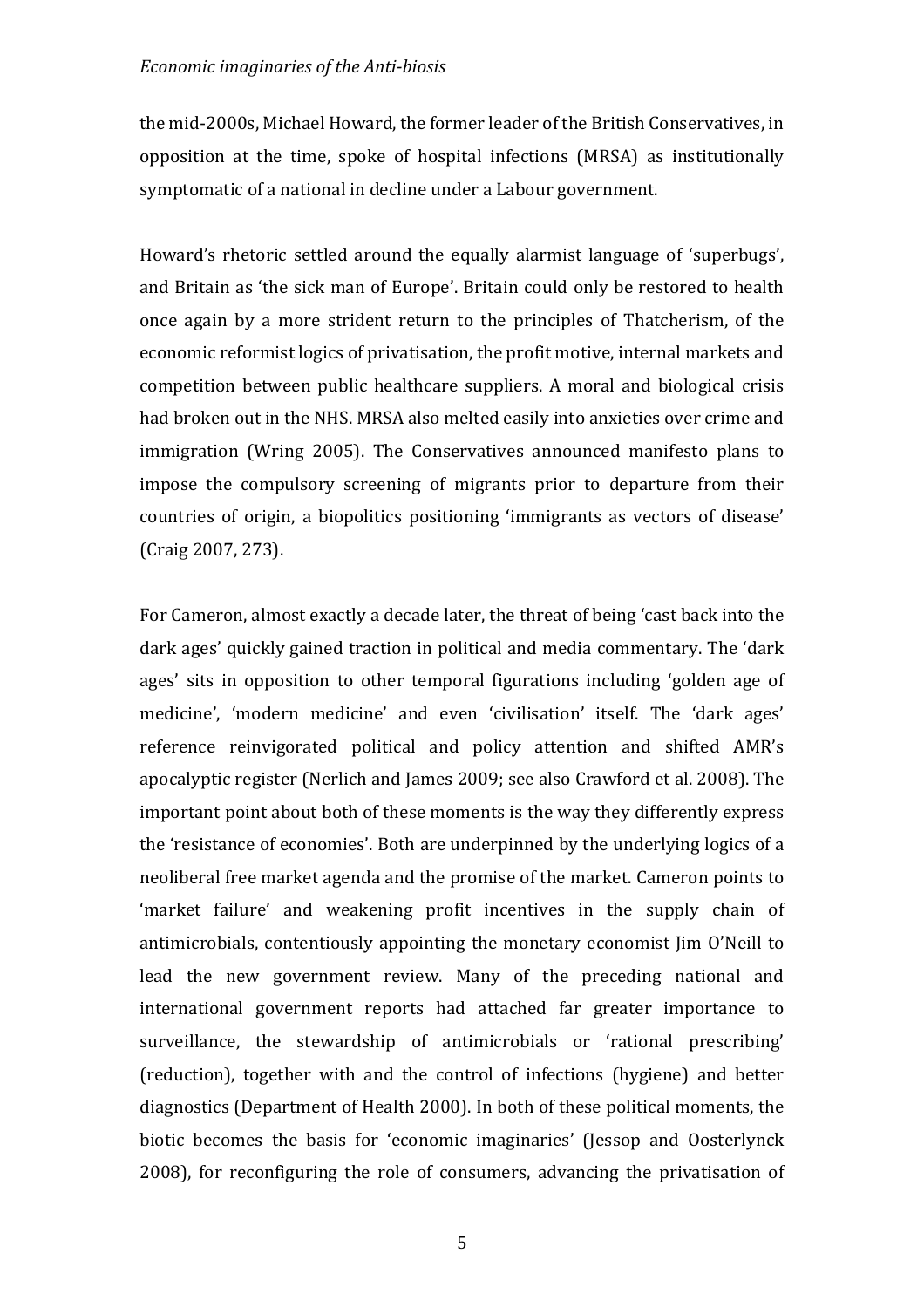the mid-2000s, Michael Howard, the former leader of the British Conservatives, in opposition at the time, spoke of hospital infections (MRSA) as institutionally symptomatic of a national in decline under a Labour government.

Howard's rhetoric settled around the equally alarmist language of 'superbugs', and Britain as 'the sick man of Europe'. Britain could only be restored to health once again by a more strident return to the principles of Thatcherism, of the economic reformist logics of privatisation, the profit motive, internal markets and competition between public healthcare suppliers. A moral and biological crisis had broken out in the NHS. MRSA also melted easily into anxieties over crime and immigration (Wring 2005). The Conservatives announced manifesto plans to impose the compulsory screening of migrants prior to departure from their countries of origin, a biopolitics positioning 'immigrants as vectors of disease' (Craig 2007, 273).

For Cameron, almost exactly a decade later, the threat of being 'cast back into the dark ages' quickly gained traction in political and media commentary. The 'dark ages' sits in opposition to other temporal figurations including 'golden age of medicine', 'modern medicine' and even 'civilisation' itself. The 'dark ages' reference reinvigorated political and policy attention and shifted AMR's apocalyptic register (Nerlich and James 2009; see also Crawford et al. 2008). The important point about both of these moments is the way they differently express the 'resistance of economies'. Both are underpinned by the underlying logics of a neoliberal free market agenda and the promise of the market. Cameron points to 'market failure' and weakening profit incentives in the supply chain of antimicrobials, contentiously appointing the monetary economist Jim O'Neill to lead the new government review. Many of the preceding national and international government reports had attached far greater importance to surveillance, the stewardship of antimicrobials or 'rational prescribing' (reduction), together with and the control of infections (hygiene) and better diagnostics (Department of Health 2000). In both of these political moments, the biotic becomes the basis for 'economic imaginaries' (Jessop and Oosterlynck  $2008$ ), for reconfiguring the role of consumers, advancing the privatisation of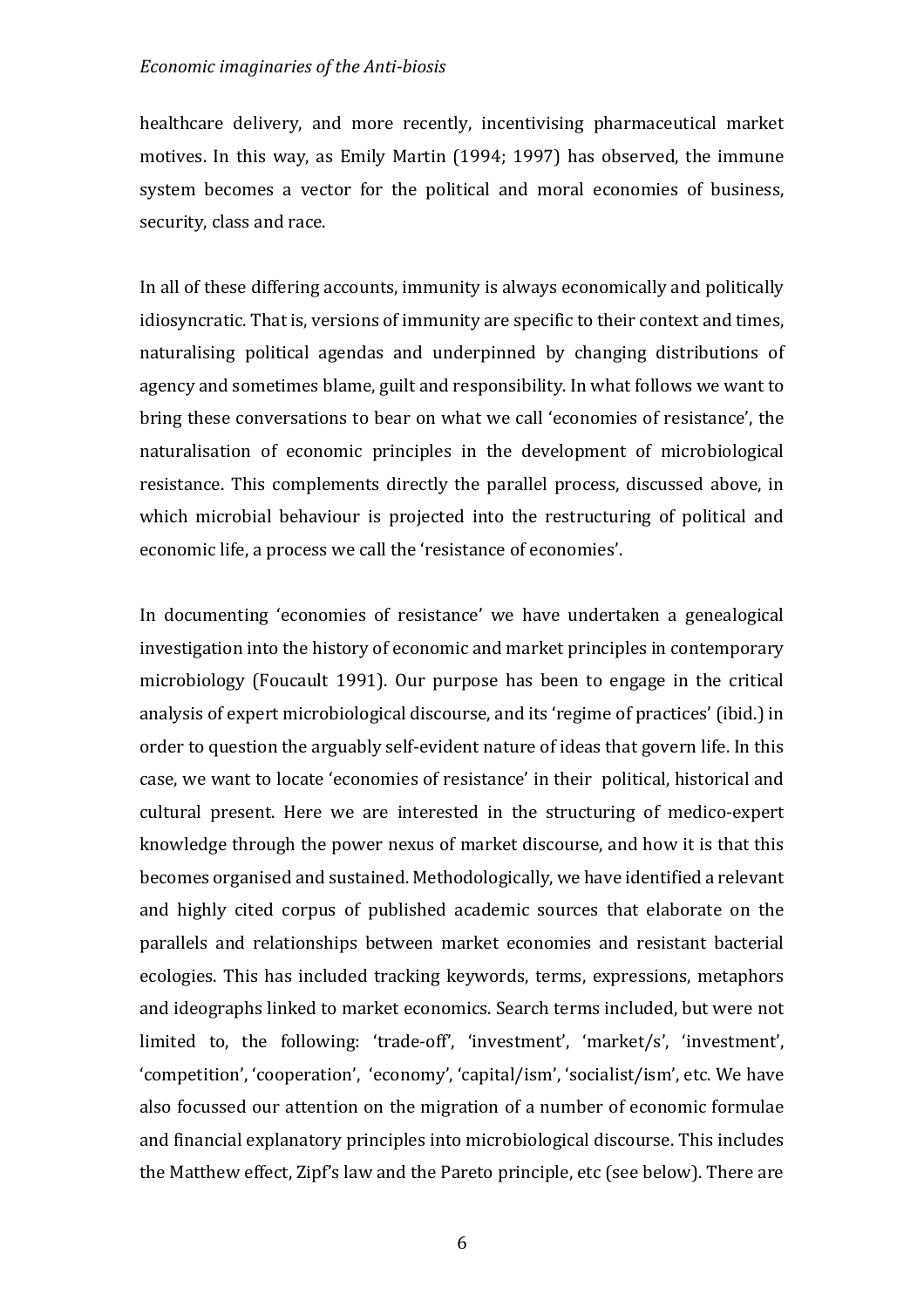healthcare delivery, and more recently, incentivising pharmaceutical market motives. In this way, as Emily Martin (1994; 1997) has observed, the immune system becomes a vector for the political and moral economies of business, security, class and race.

In all of these differing accounts, immunity is always economically and politically idiosyncratic. That is, versions of immunity are specific to their context and times, naturalising political agendas and underpinned by changing distributions of agency and sometimes blame, guilt and responsibility. In what follows we want to bring these conversations to bear on what we call 'economies of resistance', the naturalisation of economic principles in the development of microbiological resistance. This complements directly the parallel process, discussed above, in which microbial behaviour is projected into the restructuring of political and economic life, a process we call the 'resistance of economies'.

In documenting 'economies of resistance' we have undertaken a genealogical investigation into the history of economic and market principles in contemporary microbiology (Foucault 1991). Our purpose has been to engage in the critical analysis of expert microbiological discourse, and its 'regime of practices' (ibid.) in order to question the arguably self-evident nature of ideas that govern life. In this case, we want to locate 'economies of resistance' in their volitical, historical and cultural present. Here we are interested in the structuring of medico-expert knowledge through the power nexus of market discourse, and how it is that this becomes organised and sustained. Methodologically, we have identified a relevant and highly cited corpus of published academic sources that elaborate on the parallels and relationships between market economies and resistant bacterial ecologies. This has included tracking keywords, terms, expressions, metaphors and ideographs linked to market economics. Search terms included, but were not limited to, the following: 'trade-off', 'investment', 'market/s', 'investment', 'competition', 'cooperation', 'economy', 'capital/ism', 'socialist/ism', etc. We have also focussed our attention on the migration of a number of economic formulae and financial explanatory principles into microbiological discourse. This includes the Matthew effect, Zipf's law and the Pareto principle, etc (see below). There are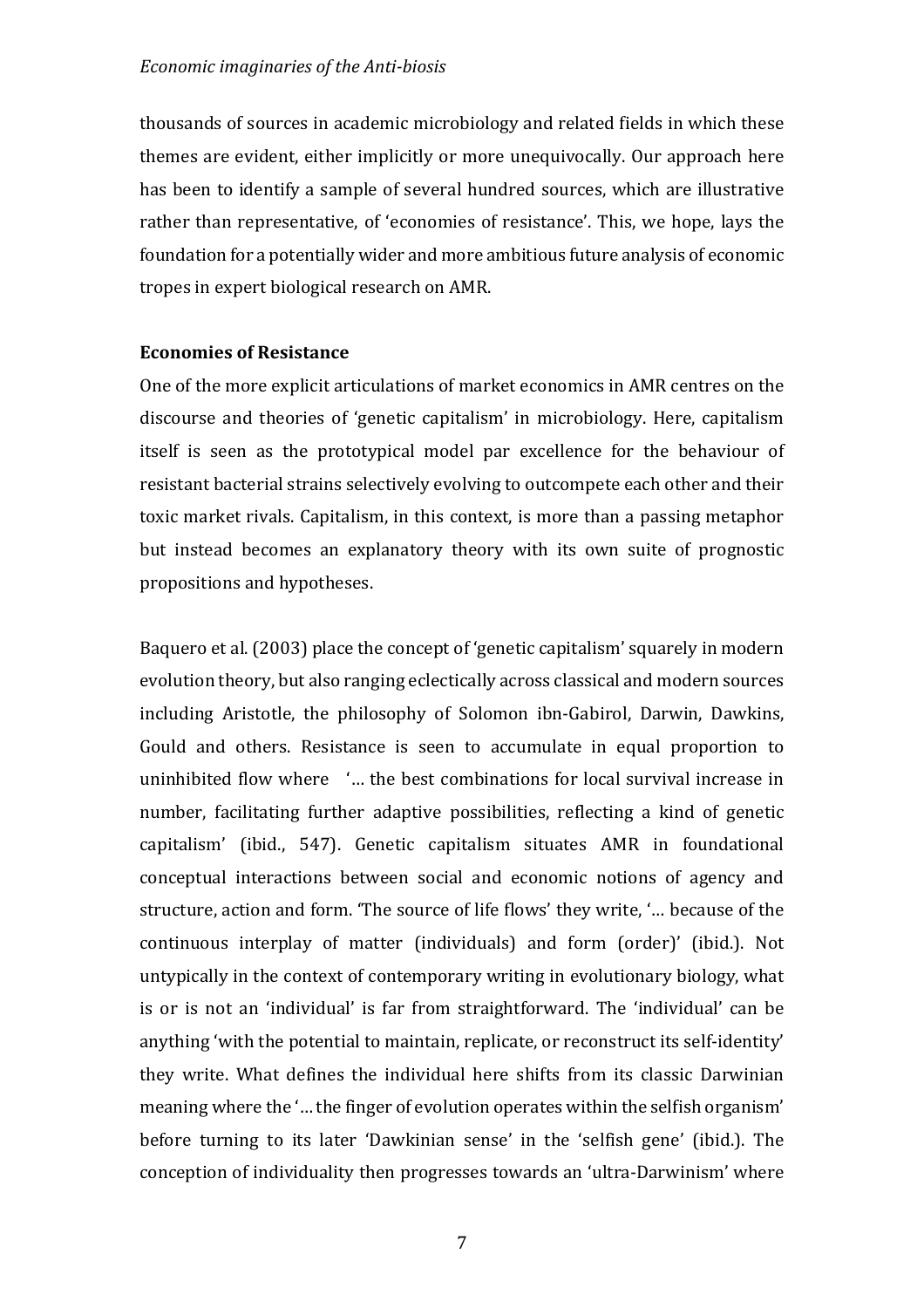thousands of sources in academic microbiology and related fields in which these themes are evident, either implicitly or more unequivocally. Our approach here has been to identify a sample of several hundred sources, which are illustrative rather than representative, of 'economies of resistance'. This, we hope, lays the foundation for a potentially wider and more ambitious future analysis of economic tropes in expert biological research on AMR.

# **Economies of Resistance**

One of the more explicit articulations of market economics in AMR centres on the discourse and theories of 'genetic capitalism' in microbiology. Here, capitalism itself is seen as the prototypical model par excellence for the behaviour of resistant bacterial strains selectively evolving to outcompete each other and their toxic market rivals. Capitalism, in this context, is more than a passing metaphor but instead becomes an explanatory theory with its own suite of prognostic propositions and hypotheses.

Baquero et al. (2003) place the concept of 'genetic capitalism' squarely in modern evolution theory, but also ranging eclectically across classical and modern sources including Aristotle, the philosophy of Solomon ibn-Gabirol, Darwin, Dawkins, Gould and others. Resistance is seen to accumulate in equal proportion to uninhibited flow where '... the best combinations for local survival increase in number, facilitating further adaptive possibilities, reflecting a kind of genetic capitalism' (ibid., 547). Genetic capitalism situates AMR in foundational conceptual interactions between social and economic notions of agency and structure, action and form. 'The source of life flows' they write, '... because of the continuous interplay of matter (individuals) and form (order)' (ibid.). Not untypically in the context of contemporary writing in evolutionary biology, what is or is not an 'individual' is far from straightforward. The 'individual' can be anything 'with the potential to maintain, replicate, or reconstruct its self-identity' they write. What defines the individual here shifts from its classic Darwinian meaning where the '... the finger of evolution operates within the selfish organism' before turning to its later 'Dawkinian sense' in the 'selfish gene' (ibid.). The conception of individuality then progresses towards an 'ultra-Darwinism' where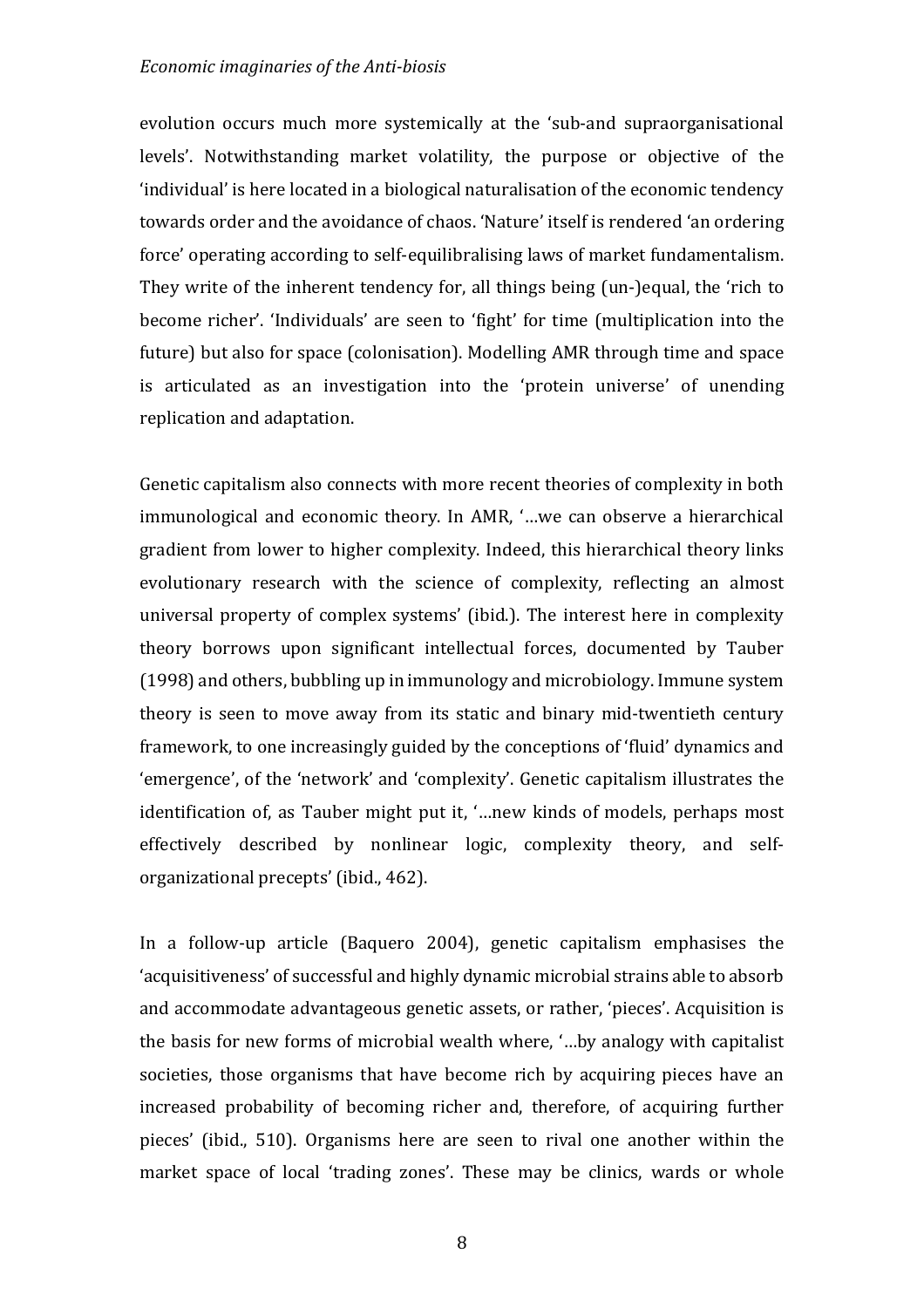evolution occurs much more systemically at the 'sub-and supraorganisational levels'. Notwithstanding market volatility, the purpose or objective of the 'individual' is here located in a biological naturalisation of the economic tendency towards order and the avoidance of chaos. 'Nature' itself is rendered 'an ordering force' operating according to self-equilibralising laws of market fundamentalism. They write of the inherent tendency for, all things being (un-)equal, the 'rich to become richer'. 'Individuals' are seen to 'fight' for time (multiplication into the future) but also for space (colonisation). Modelling AMR through time and space is articulated as an investigation into the 'protein universe' of unending replication and adaptation.

Genetic capitalism also connects with more recent theories of complexity in both immunological and economic theory. In AMR, '...we can observe a hierarchical gradient from lower to higher complexity. Indeed, this hierarchical theory links evolutionary research with the science of complexity, reflecting an almost universal property of complex systems' (ibid.). The interest here in complexity theory borrows upon significant intellectual forces, documented by Tauber  $(1998)$  and others, bubbling up in immunology and microbiology. Immune system theory is seen to move away from its static and binary mid-twentieth century framework, to one increasingly guided by the conceptions of 'fluid' dynamics and 'emergence', of the 'network' and 'complexity'. Genetic capitalism illustrates the identification of, as Tauber might put it, '...new kinds of models, perhaps most effectively described by nonlinear logic, complexity theory, and selforganizational precepts' (ibid., 462).

In a follow-up article (Baquero 2004), genetic capitalism emphasises the 'acquisitiveness' of successful and highly dynamic microbial strains able to absorb and accommodate advantageous genetic assets, or rather, 'pieces'. Acquisition is the basis for new forms of microbial wealth where, '...by analogy with capitalist societies, those organisms that have become rich by acquiring pieces have an increased probability of becoming richer and, therefore, of acquiring further pieces' (ibid., 510). Organisms here are seen to rival one another within the market space of local 'trading zones'. These may be clinics, wards or whole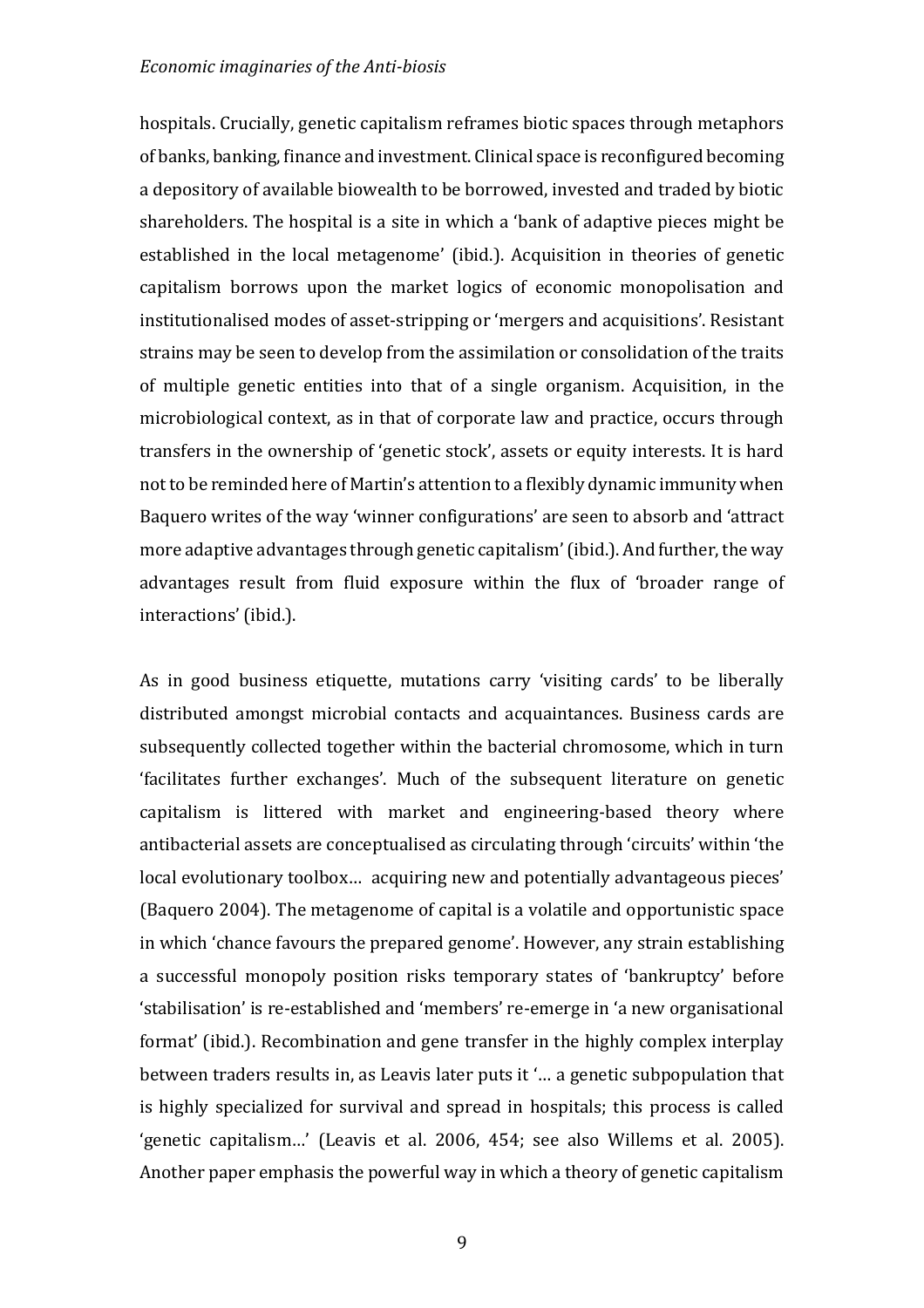hospitals. Crucially, genetic capitalism reframes biotic spaces through metaphors of banks, banking, finance and investment. Clinical space is reconfigured becoming a depository of available biowealth to be borrowed, invested and traded by biotic shareholders. The hospital is a site in which a 'bank of adaptive pieces might be established in the local metagenome' (ibid.). Acquisition in theories of genetic capitalism borrows upon the market logics of economic monopolisation and institutionalised modes of asset-stripping or 'mergers and acquisitions'. Resistant strains may be seen to develop from the assimilation or consolidation of the traits of multiple genetic entities into that of a single organism. Acquisition, in the microbiological context, as in that of corporate law and practice, occurs through transfers in the ownership of 'genetic stock', assets or equity interests. It is hard not to be reminded here of Martin's attention to a flexibly dynamic immunity when Baquero writes of the way 'winner configurations' are seen to absorb and 'attract more adaptive advantages through genetic capitalism' (ibid.). And further, the way advantages result from fluid exposure within the flux of 'broader range of interactions' (ibid.).

As in good business etiquette, mutations carry 'visiting cards' to be liberally distributed amongst microbial contacts and acquaintances. Business cards are subsequently collected together within the bacterial chromosome, which in turn 'facilitates further exchanges'. Much of the subsequent literature on genetic capitalism is littered with market and engineering-based theory where antibacterial assets are conceptualised as circulating through 'circuits' within 'the local evolutionary toolbox... acquiring new and potentially advantageous pieces' (Baquero 2004). The metagenome of capital is a volatile and opportunistic space in which 'chance favours the prepared genome'. However, any strain establishing a successful monopoly position risks temporary states of 'bankruptcy' before 'stabilisation' is re-established and 'members' re-emerge in 'a new organisational format' (ibid.). Recombination and gene transfer in the highly complex interplay between traders results in, as Leavis later puts it '... a genetic subpopulation that is highly specialized for survival and spread in hospitals; this process is called 'genetic capitalism...' (Leavis et al. 2006, 454; see also Willems et al. 2005). Another paper emphasis the powerful way in which a theory of genetic capitalism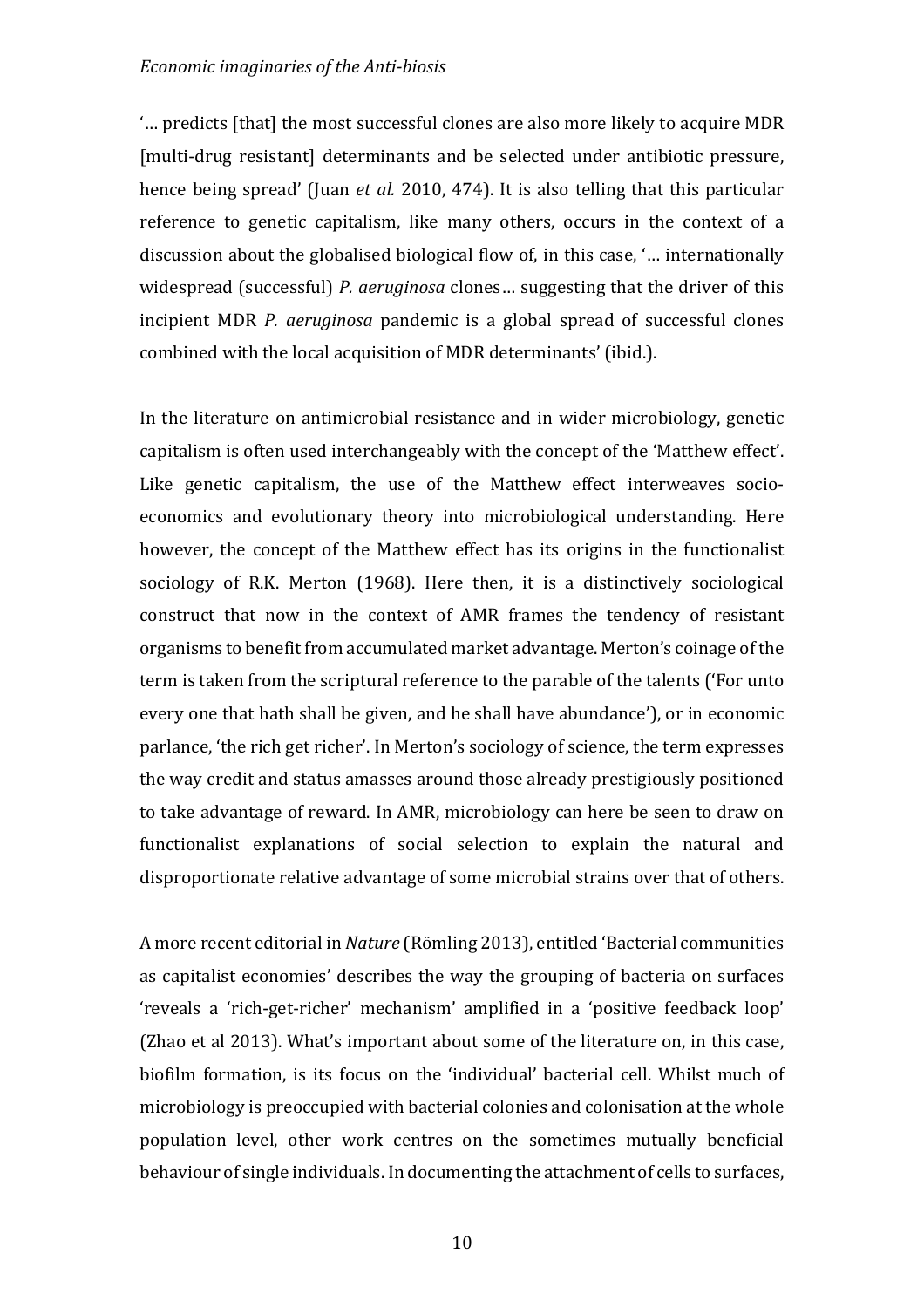"... predicts [that] the most successful clones are also more likely to acquire MDR [multi-drug resistant] determinants and be selected under antibiotic pressure, hence being spread' (Juan *et al.* 2010, 474). It is also telling that this particular reference to genetic capitalism, like many others, occurs in the context of a discussion about the globalised biological flow of, in this case, '... internationally widespread (successful) *P. aeruginosa* clones... suggesting that the driver of this incipient MDR *P. geruginosa* pandemic is a global spread of successful clones combined with the local acquisition of MDR determinants' (ibid.).

In the literature on antimicrobial resistance and in wider microbiology, genetic capitalism is often used interchangeably with the concept of the 'Matthew effect'. Like genetic capitalism, the use of the Matthew effect interweaves socioeconomics and evolutionary theory into microbiological understanding. Here however, the concept of the Matthew effect has its origins in the functionalist sociology of R.K. Merton (1968). Here then, it is a distinctively sociological construct that now in the context of AMR frames the tendency of resistant organisms to benefit from accumulated market advantage. Merton's coinage of the term is taken from the scriptural reference to the parable of the talents ('For unto every one that hath shall be given, and he shall have abundance'), or in economic parlance, 'the rich get richer'. In Merton's sociology of science, the term expresses the way credit and status amasses around those already prestigiously positioned to take advantage of reward. In AMR, microbiology can here be seen to draw on functionalist explanations of social selection to explain the natural and disproportionate relative advantage of some microbial strains over that of others.

A more recent editorial in *Nature* (Römling 2013), entitled 'Bacterial communities as capitalist economies' describes the way the grouping of bacteria on surfaces 'reveals a 'rich-get-richer' mechanism' amplified in a 'positive feedback loop' (Zhao et al 2013). What's important about some of the literature on, in this case, biofilm formation, is its focus on the 'individual' bacterial cell. Whilst much of microbiology is preoccupied with bacterial colonies and colonisation at the whole population level, other work centres on the sometimes mutually beneficial behaviour of single individuals. In documenting the attachment of cells to surfaces,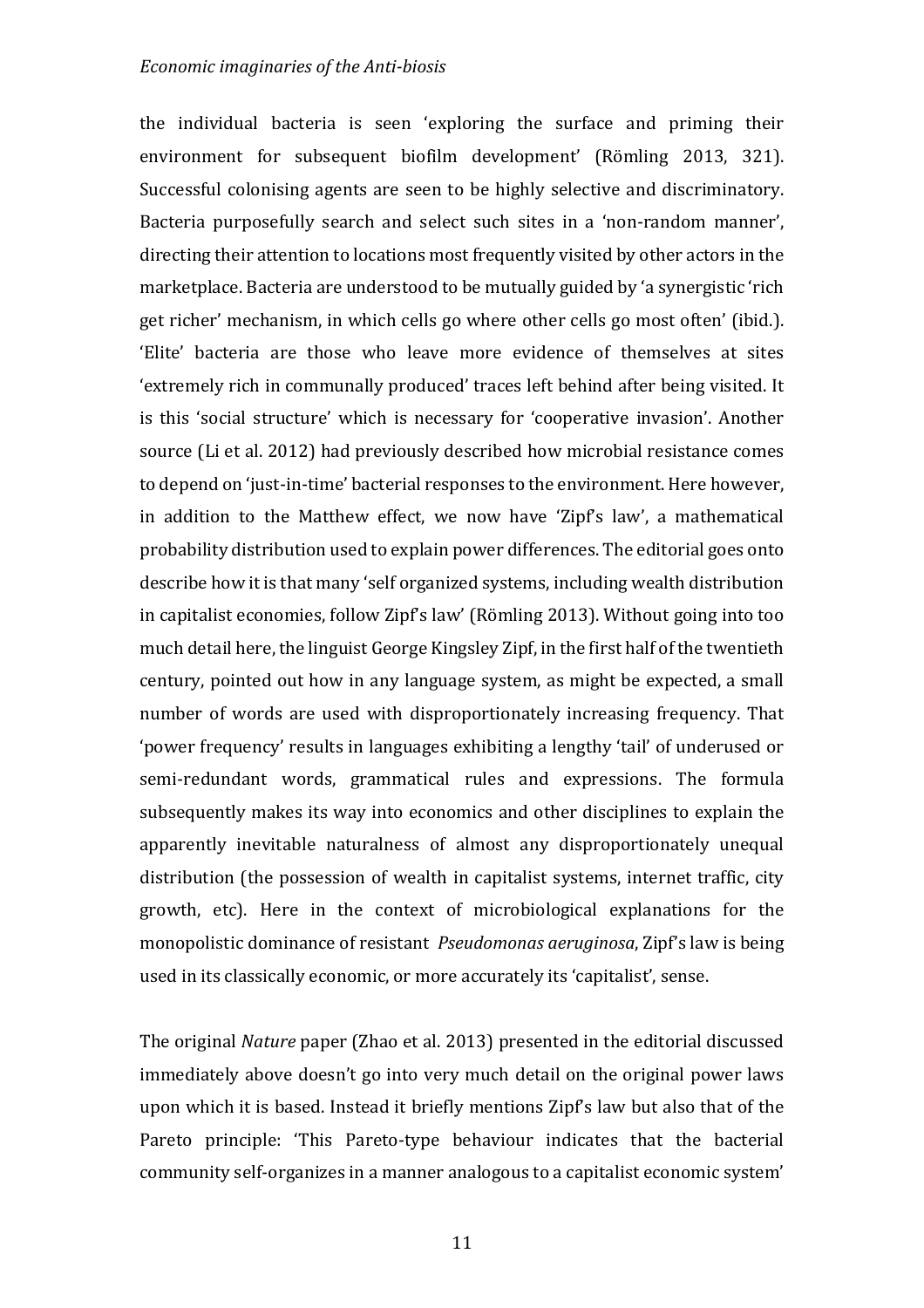the individual bacteria is seen 'exploring the surface and priming their environment for subsequent biofilm development' (Römling 2013, 321). Successful colonising agents are seen to be highly selective and discriminatory. Bacteria purposefully search and select such sites in a 'non-random manner', directing their attention to locations most frequently visited by other actors in the marketplace. Bacteria are understood to be mutually guided by 'a synergistic 'rich get richer' mechanism, in which cells go where other cells go most often' (ibid.). 'Elite' bacteria are those who leave more evidence of themselves at sites 'extremely rich in communally produced' traces left behind after being visited. It is this 'social structure' which is necessary for 'cooperative invasion'. Another source (Li et al. 2012) had previously described how microbial resistance comes to depend on 'just-in-time' bacterial responses to the environment. Here however, in addition to the Matthew effect, we now have 'Zipf's law', a mathematical probability distribution used to explain power differences. The editorial goes onto describe how it is that many 'self organized systems, including wealth distribution in capitalist economies, follow Zipf's law' (Römling 2013). Without going into too much detail here, the linguist George Kingsley Zipf, in the first half of the twentieth century, pointed out how in any language system, as might be expected, a small number of words are used with disproportionately increasing frequency. That 'power frequency' results in languages exhibiting a lengthy 'tail' of underused or semi-redundant words, grammatical rules and expressions. The formula subsequently makes its way into economics and other disciplines to explain the apparently inevitable naturalness of almost any disproportionately unequal distribution (the possession of wealth in capitalist systems, internet traffic, city growth, etc). Here in the context of microbiological explanations for the monopolistic dominance of resistant *Pseudomonas aeruginosa*, Zipf's law is being used in its classically economic, or more accurately its 'capitalist', sense.

The original *Nature* paper (Zhao et al. 2013) presented in the editorial discussed immediately above doesn't go into very much detail on the original power laws upon which it is based. Instead it briefly mentions  $\text{Zipf's law}$  but also that of the Pareto principle: 'This Pareto-type behaviour indicates that the bacterial community self-organizes in a manner analogous to a capitalist economic system'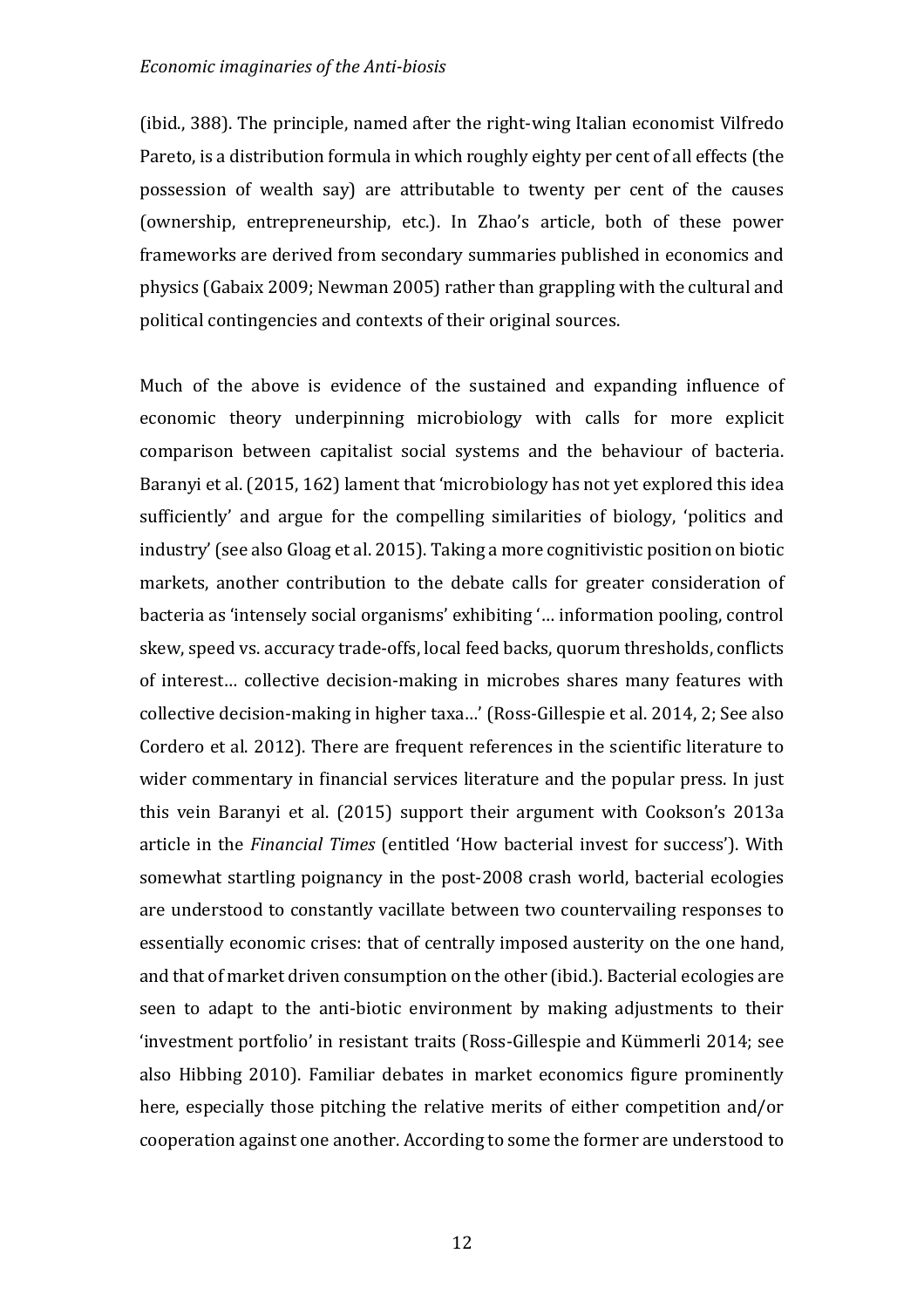(ibid., 388). The principle, named after the right-wing Italian economist Vilfredo Pareto, is a distribution formula in which roughly eighty per cent of all effects (the possession of wealth say) are attributable to twenty per cent of the causes (ownership, entrepreneurship, etc.). In Zhao's article, both of these power frameworks are derived from secondary summaries published in economics and physics (Gabaix 2009; Newman 2005) rather than grappling with the cultural and political contingencies and contexts of their original sources.

Much of the above is evidence of the sustained and expanding influence of economic theory underpinning microbiology with calls for more explicit comparison between capitalist social systems and the behaviour of bacteria. Baranyi et al. (2015, 162) lament that 'microbiology has not yet explored this idea sufficiently' and argue for the compelling similarities of biology, 'politics and industry' (see also Gloag et al. 2015). Taking a more cognitivistic position on biotic markets, another contribution to the debate calls for greater consideration of bacteria as 'intensely social organisms' exhibiting '... information pooling, control skew, speed vs. accuracy trade-offs, local feed backs, quorum thresholds, conflicts of interest... collective decision-making in microbes shares many features with collective decision-making in higher taxa...' (Ross-Gillespie et al. 2014, 2; See also Cordero et al. 2012). There are frequent references in the scientific literature to wider commentary in financial services literature and the popular press. In just this vein Baranyi et al.  $(2015)$  support their argument with Cookson's  $2013a$ article in the *Financial Times* (entitled 'How bacterial invest for success'). With somewhat startling poignancy in the post-2008 crash world, bacterial ecologies are understood to constantly vacillate between two countervailing responses to essentially economic crises: that of centrally imposed austerity on the one hand, and that of market driven consumption on the other (ibid.). Bacterial ecologies are seen to adapt to the anti-biotic environment by making adjustments to their 'investment portfolio' in resistant traits (Ross-Gillespie and Kümmerli 2014; see also Hibbing 2010). Familiar debates in market economics figure prominently here, especially those pitching the relative merits of either competition and/or cooperation against one another. According to some the former are understood to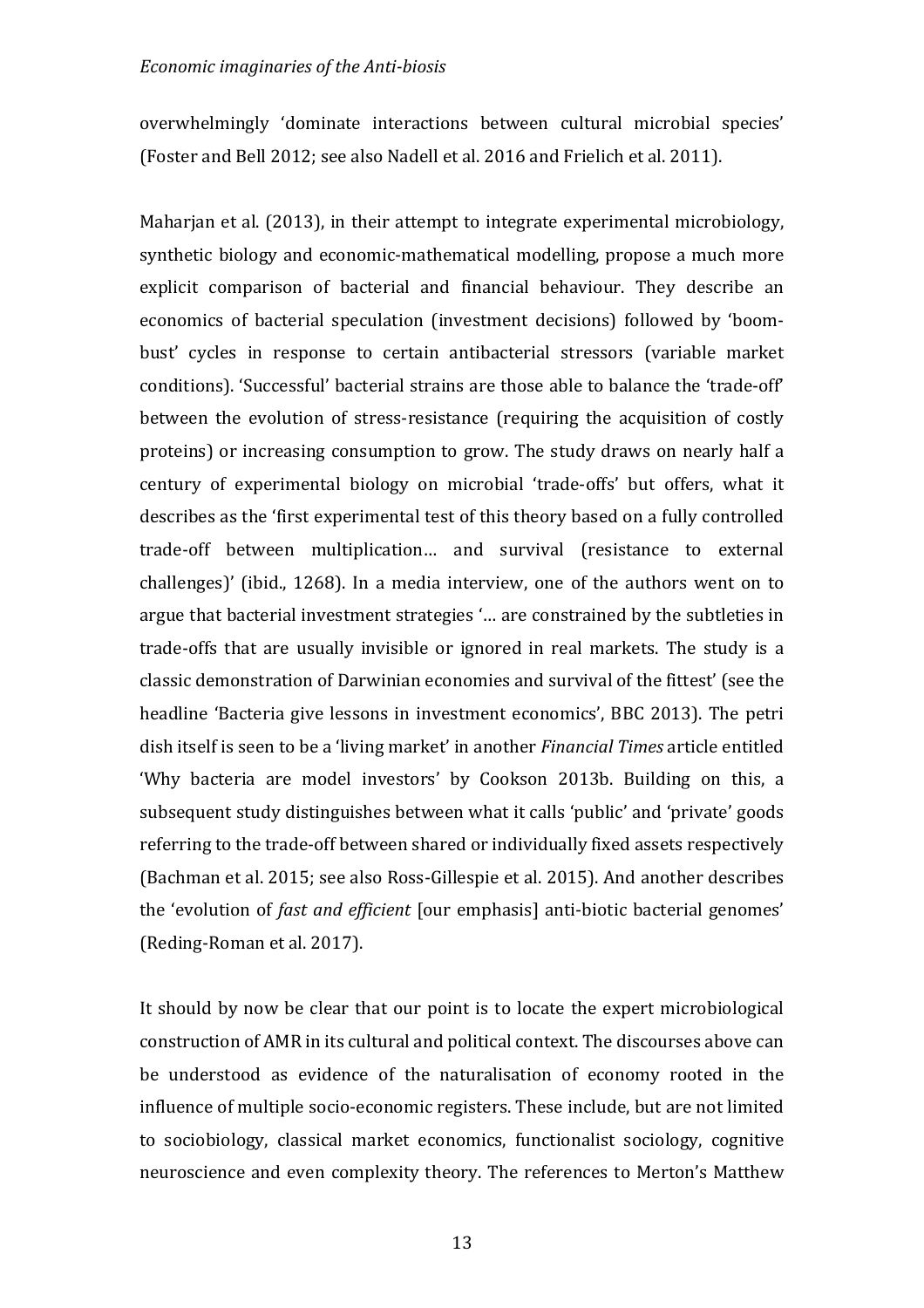overwhelmingly 'dominate interactions between cultural microbial species' (Foster and Bell 2012; see also Nadell et al. 2016 and Frielich et al. 2011).

Maharjan et al. (2013), in their attempt to integrate experimental microbiology, synthetic biology and economic-mathematical modelling, propose a much more explicit comparison of bacterial and financial behaviour. They describe an economics of bacterial speculation (investment decisions) followed by 'boombust' cycles in response to certain antibacterial stressors (variable market conditions). 'Successful' bacterial strains are those able to balance the 'trade-off' between the evolution of stress-resistance (requiring the acquisition of costly proteins) or increasing consumption to grow. The study draws on nearly half a century of experimental biology on microbial 'trade-offs' but offers, what it describes as the 'first experimental test of this theory based on a fully controlled trade-off between multiplication... and survival (resistance to external challenges)' (ibid., 1268). In a media interview, one of the authors went on to argue that bacterial investment strategies '... are constrained by the subtleties in trade-offs that are usually invisible or ignored in real markets. The study is a classic demonstration of Darwinian economies and survival of the fittest' (see the headline 'Bacteria give lessons in investment economics', BBC 2013). The petri dish itself is seen to be a 'living market' in another *Financial Times* article entitled 'Why bacteria are model investors' by Cookson 2013b. Building on this, a subsequent study distinguishes between what it calls 'public' and 'private' goods referring to the trade-off between shared or individually fixed assets respectively (Bachman et al. 2015; see also Ross-Gillespie et al. 2015). And another describes the 'evolution of *fast and efficient* [our emphasis] anti-biotic bacterial genomes' (Reding-Roman et al. 2017).

It should by now be clear that our point is to locate the expert microbiological construction of AMR in its cultural and political context. The discourses above can be understood as evidence of the naturalisation of economy rooted in the influence of multiple socio-economic registers. These include, but are not limited to sociobiology, classical market economics, functionalist sociology, cognitive neuroscience and even complexity theory. The references to Merton's Matthew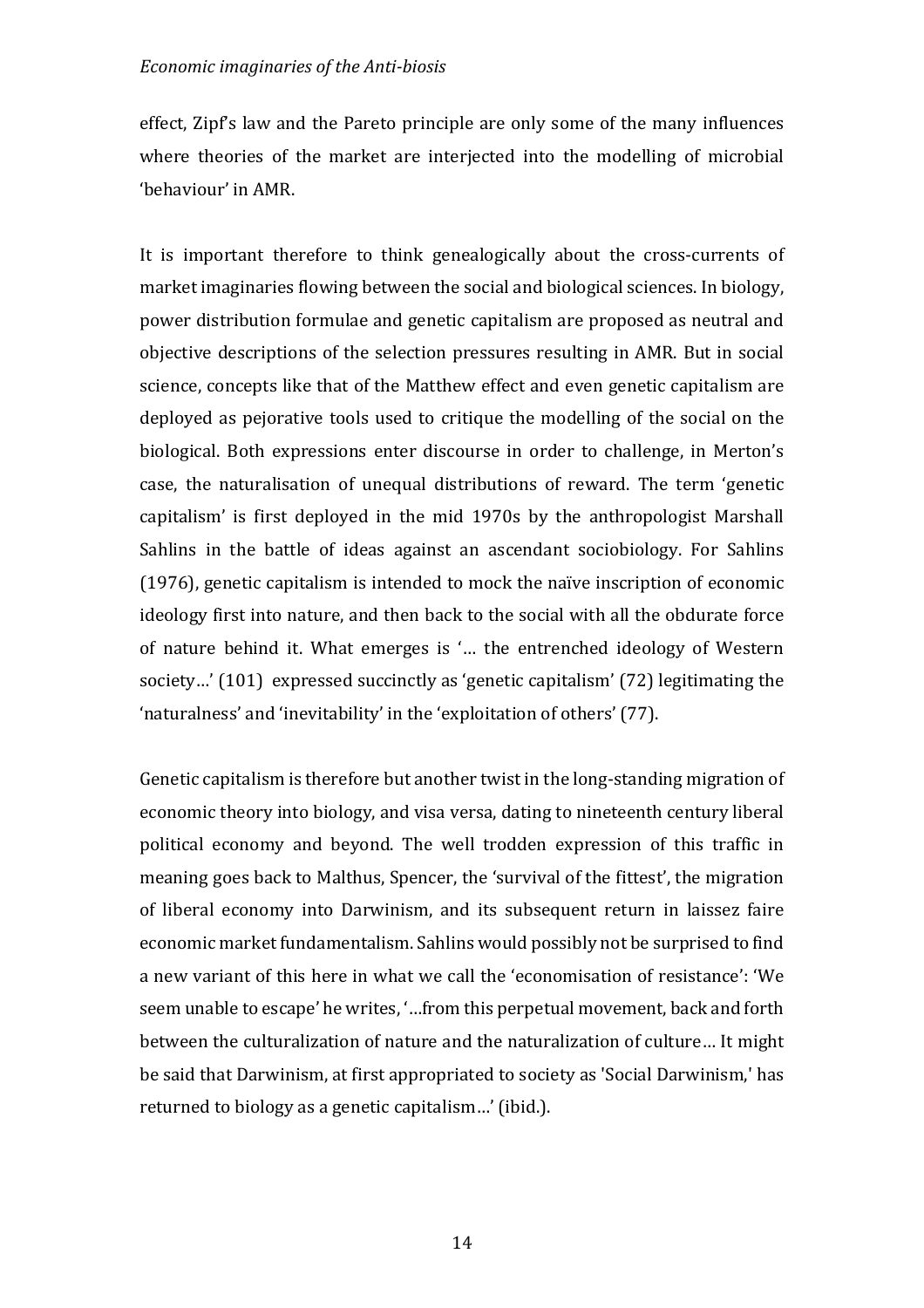effect, Zipf's law and the Pareto principle are only some of the many influences where theories of the market are interjected into the modelling of microbial 'behaviour' in AMR.

It is important therefore to think genealogically about the cross-currents of market imaginaries flowing between the social and biological sciences. In biology, power distribution formulae and genetic capitalism are proposed as neutral and objective descriptions of the selection pressures resulting in AMR. But in social science, concepts like that of the Matthew effect and even genetic capitalism are deployed as pejorative tools used to critique the modelling of the social on the biological. Both expressions enter discourse in order to challenge, in Merton's case, the naturalisation of unequal distributions of reward. The term 'genetic capitalism' is first deployed in the mid 1970s by the anthropologist Marshall Sahlins in the battle of ideas against an ascendant sociobiology. For Sahlins (1976), genetic capitalism is intended to mock the naïve inscription of economic ideology first into nature, and then back to the social with all the obdurate force of nature behind it. What emerges is '... the entrenched ideology of Western society...'  $(101)$  expressed succinctly as 'genetic capitalism'  $(72)$  legitimating the 'naturalness' and 'inevitability' in the 'exploitation of others' (77).

Genetic capitalism is therefore but another twist in the long-standing migration of economic theory into biology, and visa versa, dating to nineteenth century liberal political economy and beyond. The well trodden expression of this traffic in meaning goes back to Malthus, Spencer, the 'survival of the fittest', the migration of liberal economy into Darwinism, and its subsequent return in laissez faire economic market fundamentalism. Sahlins would possibly not be surprised to find a new variant of this here in what we call the 'economisation of resistance': 'We seem unable to escape' he writes, '...from this perpetual movement, back and forth between the culturalization of nature and the naturalization of culture... It might be said that Darwinism, at first appropriated to society as 'Social Darwinism,' has returned to biology as a genetic capitalism...' (ibid.).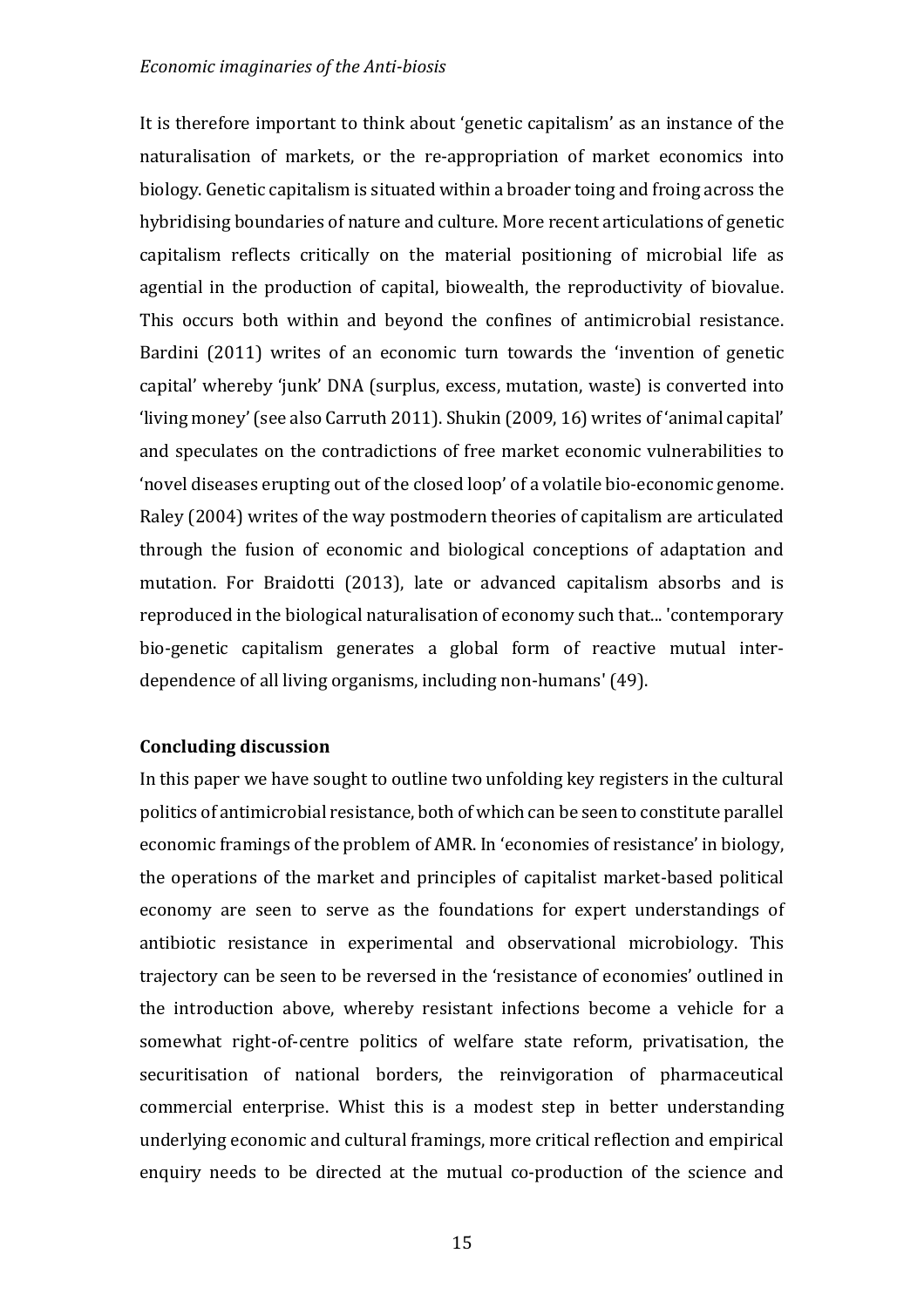It is therefore important to think about 'genetic capitalism' as an instance of the naturalisation of markets, or the re-appropriation of market economics into biology. Genetic capitalism is situated within a broader toing and froing across the hybridising boundaries of nature and culture. More recent articulations of genetic capitalism reflects critically on the material positioning of microbial life as agential in the production of capital, biowealth, the reproductivity of biovalue. This occurs both within and beyond the confines of antimicrobial resistance. Bardini (2011) writes of an economic turn towards the 'invention of genetic capital' whereby 'junk' DNA (surplus, excess, mutation, waste) is converted into 'living money' (see also Carruth 2011). Shukin (2009, 16) writes of 'animal capital' and speculates on the contradictions of free market economic vulnerabilities to 'novel diseases erupting out of the closed loop' of a volatile bio-economic genome. Raley (2004) writes of the way postmodern theories of capitalism are articulated through the fusion of economic and biological conceptions of adaptation and mutation. For Braidotti (2013), late or advanced capitalism absorbs and is reproduced in the biological naturalisation of economy such that... 'contemporary bio-genetic capitalism generates a global form of reactive mutual interdependence of all living organisms, including non-humans' (49).

# **Concluding discussion**

In this paper we have sought to outline two unfolding key registers in the cultural politics of antimicrobial resistance, both of which can be seen to constitute parallel economic framings of the problem of AMR. In 'economies of resistance' in biology, the operations of the market and principles of capitalist market-based political economy are seen to serve as the foundations for expert understandings of antibiotic resistance in experimental and observational microbiology. This trajectory can be seen to be reversed in the 'resistance of economies' outlined in the introduction above, whereby resistant infections become a vehicle for a somewhat right-of-centre politics of welfare state reform, privatisation, the securitisation of national borders, the reinvigoration of pharmaceutical commercial enterprise. Whist this is a modest step in better understanding underlying economic and cultural framings, more critical reflection and empirical enquiry needs to be directed at the mutual co-production of the science and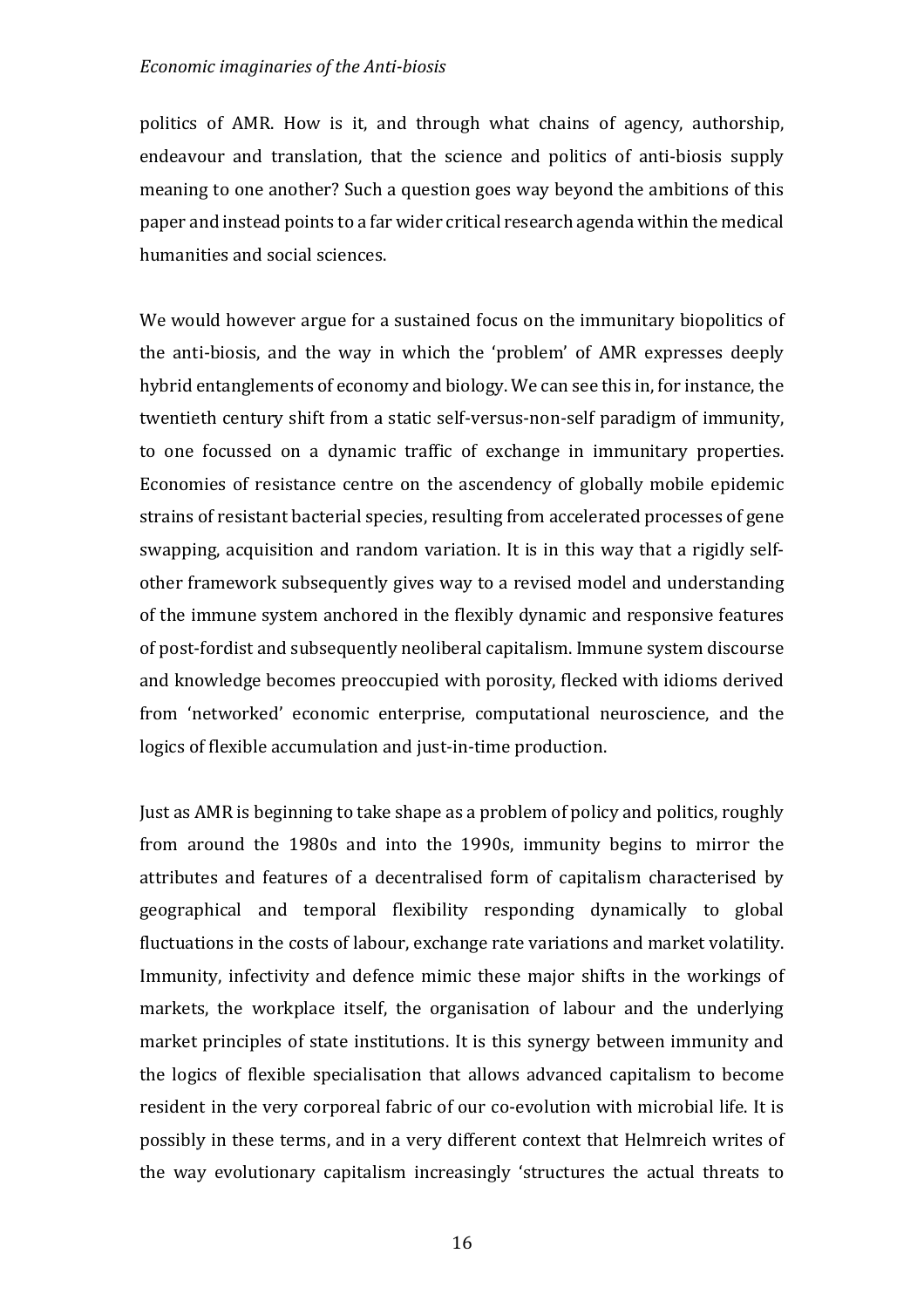politics of AMR. How is it, and through what chains of agency, authorship, endeavour and translation, that the science and politics of anti-biosis supply meaning to one another? Such a question goes way beyond the ambitions of this paper and instead points to a far wider critical research agenda within the medical humanities and social sciences.

We would however argue for a sustained focus on the immunitary biopolitics of the anti-biosis, and the way in which the 'problem' of AMR expresses deeply hybrid entanglements of economy and biology. We can see this in, for instance, the twentieth century shift from a static self-versus-non-self paradigm of immunity, to one focussed on a dynamic traffic of exchange in immunitary properties. Economies of resistance centre on the ascendency of globally mobile epidemic strains of resistant bacterial species, resulting from accelerated processes of gene swapping, acquisition and random variation. It is in this way that a rigidly selfother framework subsequently gives way to a revised model and understanding of the immune system anchored in the flexibly dynamic and responsive features of post-fordist and subsequently neoliberal capitalism. Immune system discourse and knowledge becomes preoccupied with porosity, flecked with idioms derived from 'networked' economic enterprise, computational neuroscience, and the logics of flexible accumulation and just-in-time production.

Just as AMR is beginning to take shape as a problem of policy and politics, roughly from around the 1980s and into the 1990s, immunity begins to mirror the attributes and features of a decentralised form of capitalism characterised by geographical and temporal flexibility responding dynamically to global fluctuations in the costs of labour, exchange rate variations and market volatility. Immunity, infectivity and defence mimic these major shifts in the workings of markets, the workplace itself, the organisation of labour and the underlying market principles of state institutions. It is this synergy between immunity and the logics of flexible specialisation that allows advanced capitalism to become resident in the very corporeal fabric of our co-evolution with microbial life. It is possibly in these terms, and in a very different context that Helmreich writes of the way evolutionary capitalism increasingly 'structures the actual threats to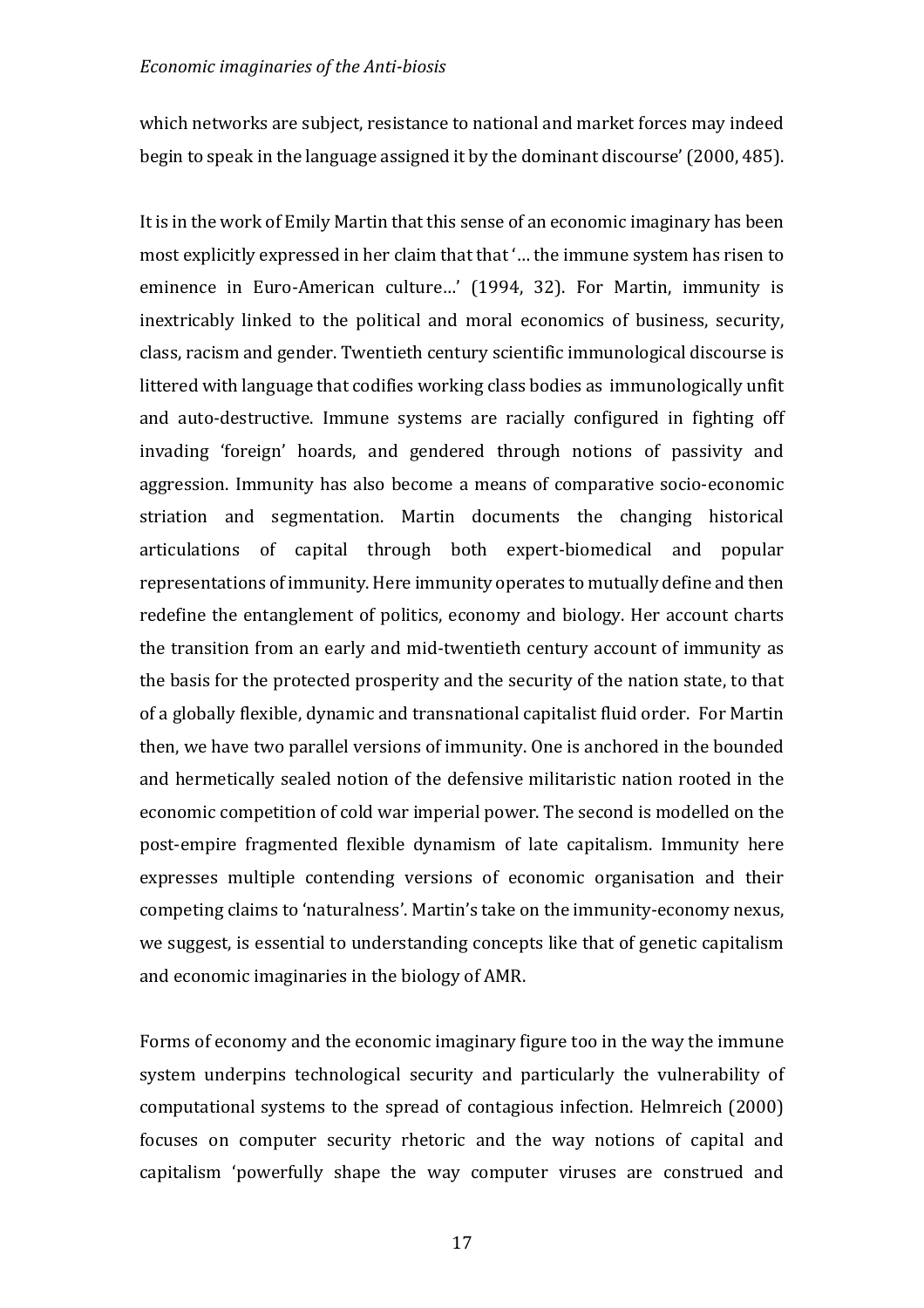which networks are subject, resistance to national and market forces may indeed begin to speak in the language assigned it by the dominant discourse' (2000, 485).

It is in the work of Emily Martin that this sense of an economic imaginary has been most explicitly expressed in her claim that that '... the immune system has risen to eminence in Euro-American culture...' (1994, 32). For Martin, immunity is inextricably linked to the political and moral economics of business, security, class, racism and gender. Twentieth century scientific immunological discourse is littered with language that codifies working class bodies as immunologically unfit and auto-destructive. Immune systems are racially configured in fighting off invading 'foreign' hoards, and gendered through notions of passivity and aggression. Immunity has also become a means of comparative socio-economic striation and segmentation. Martin documents the changing historical articulations of capital through both expert-biomedical and popular representations of immunity. Here immunity operates to mutually define and then redefine the entanglement of politics, economy and biology. Her account charts the transition from an early and mid-twentieth century account of immunity as the basis for the protected prosperity and the security of the nation state, to that of a globally flexible, dynamic and transnational capitalist fluid order. For Martin then, we have two parallel versions of immunity. One is anchored in the bounded and hermetically sealed notion of the defensive militaristic nation rooted in the economic competition of cold war imperial power. The second is modelled on the post-empire fragmented flexible dynamism of late capitalism. Immunity here expresses multiple contending versions of economic organisation and their competing claims to 'naturalness'. Martin's take on the immunity-economy nexus, we suggest, is essential to understanding concepts like that of genetic capitalism and economic imaginaries in the biology of AMR.

Forms of economy and the economic imaginary figure too in the way the immune system underpins technological security and particularly the vulnerability of computational systems to the spread of contagious infection. Helmreich (2000) focuses on computer security rhetoric and the way notions of capital and capitalism 'powerfully shape the way computer viruses are construed and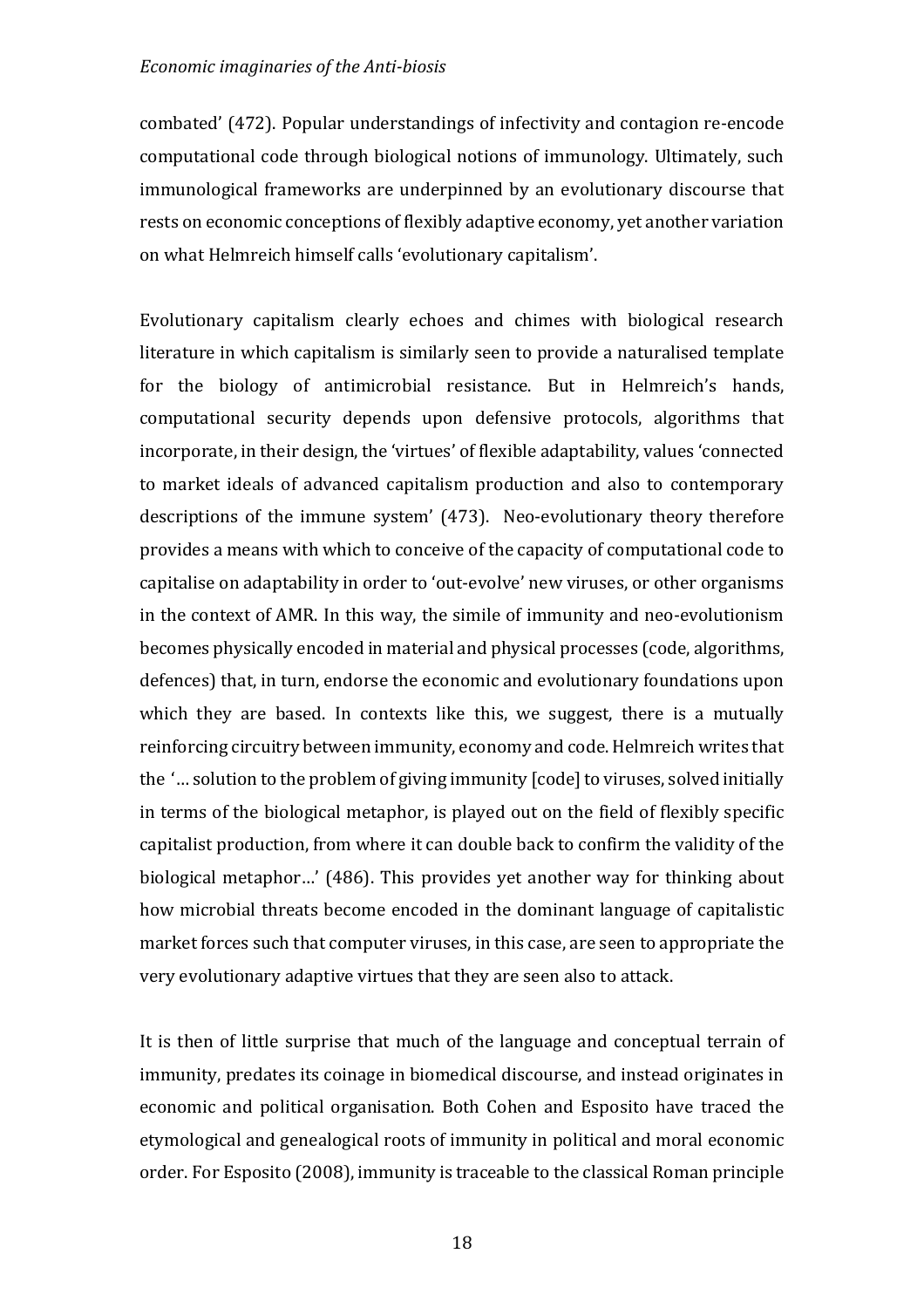combated' (472). Popular understandings of infectivity and contagion re-encode computational code through biological notions of immunology. Ultimately, such immunological frameworks are underpinned by an evolutionary discourse that rests on economic conceptions of flexibly adaptive economy, yet another variation on what Helmreich himself calls 'evolutionary capitalism'.

Evolutionary capitalism clearly echoes and chimes with biological research literature in which capitalism is similarly seen to provide a naturalised template for the biology of antimicrobial resistance. But in Helmreich's hands, computational security depends upon defensive protocols, algorithms that incorporate, in their design, the 'virtues' of flexible adaptability, values 'connected to market ideals of advanced capitalism production and also to contemporary descriptions of the immune system' (473). Neo-evolutionary theory therefore provides a means with which to conceive of the capacity of computational code to capitalise on adaptability in order to 'out-evolve' new viruses, or other organisms in the context of AMR. In this way, the simile of immunity and neo-evolutionism becomes physically encoded in material and physical processes (code, algorithms, defences) that, in turn, endorse the economic and evolutionary foundations upon which they are based. In contexts like this, we suggest, there is a mutually reinforcing circuitry between immunity, economy and code. Helmreich writes that the '... solution to the problem of giving immunity [code] to viruses, solved initially in terms of the biological metaphor, is played out on the field of flexibly specific capitalist production, from where it can double back to confirm the validity of the biological metaphor...' (486). This provides yet another way for thinking about how microbial threats become encoded in the dominant language of capitalistic market forces such that computer viruses, in this case, are seen to appropriate the very evolutionary adaptive virtues that they are seen also to attack.

It is then of little surprise that much of the language and conceptual terrain of immunity, predates its coinage in biomedical discourse, and instead originates in economic and political organisation. Both Cohen and Esposito have traced the etymological and genealogical roots of immunity in political and moral economic order. For Esposito (2008), immunity is traceable to the classical Roman principle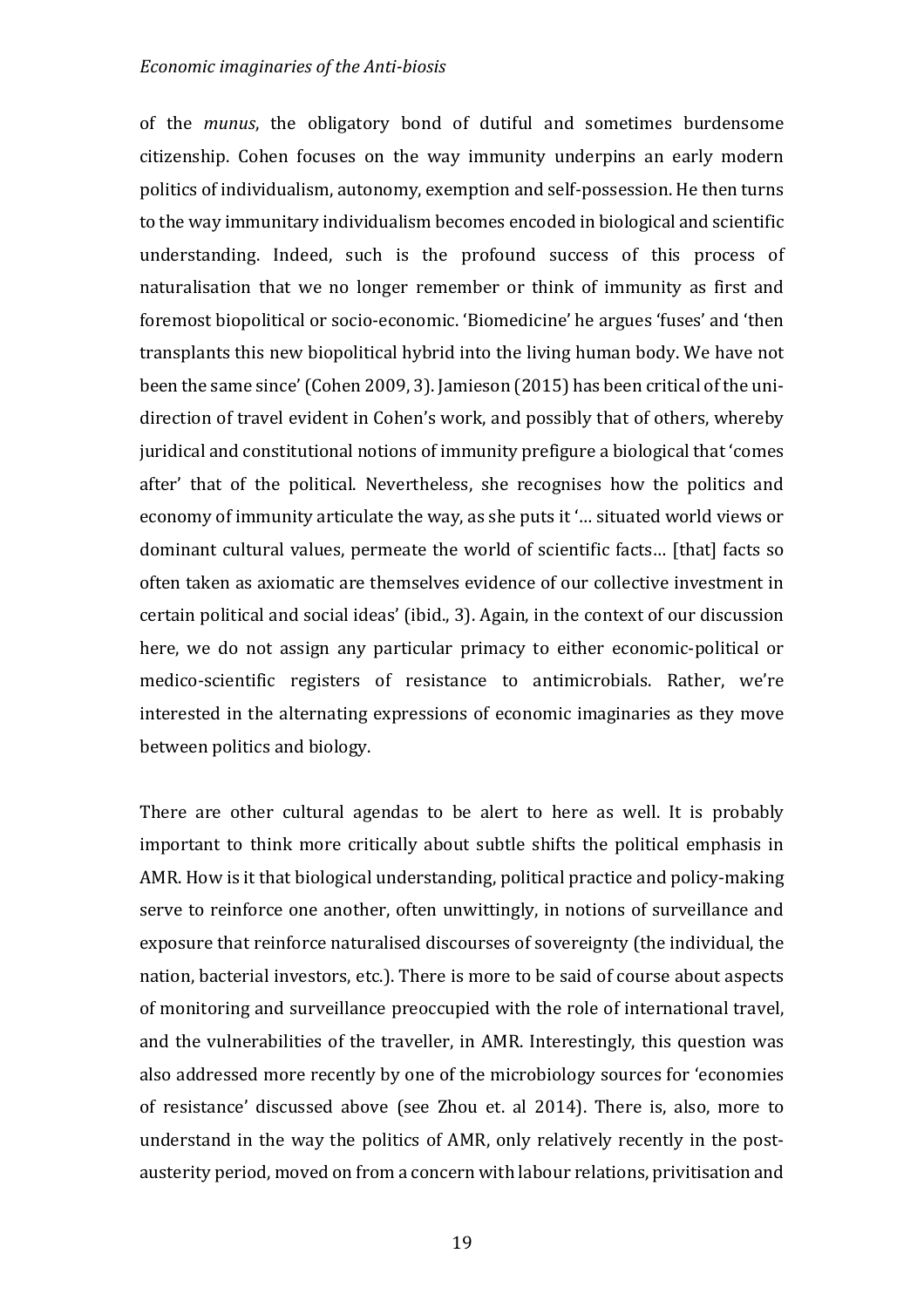of the *munus*, the obligatory bond of dutiful and sometimes burdensome citizenship. Cohen focuses on the way immunity underpins an early modern politics of individualism, autonomy, exemption and self-possession. He then turns to the way immunitary individualism becomes encoded in biological and scientific understanding. Indeed, such is the profound success of this process of naturalisation that we no longer remember or think of immunity as first and foremost biopolitical or socio-economic. 'Biomedicine' he argues 'fuses' and 'then transplants this new biopolitical hybrid into the living human body. We have not been the same since' (Cohen 2009, 3). Jamieson (2015) has been critical of the unidirection of travel evident in Cohen's work, and possibly that of others, whereby juridical and constitutional notions of immunity prefigure a biological that 'comes after' that of the political. Nevertheless, she recognises how the politics and economy of immunity articulate the way, as she puts it '... situated world views or dominant cultural values, permeate the world of scientific facts... [that] facts so often taken as axiomatic are themselves evidence of our collective investment in certain political and social ideas' (ibid., 3). Again, in the context of our discussion here, we do not assign any particular primacy to either economic-political or medico-scientific registers of resistance to antimicrobials. Rather, we're interested in the alternating expressions of economic imaginaries as they move between politics and biology.

There are other cultural agendas to be alert to here as well. It is probably important to think more critically about subtle shifts the political emphasis in AMR. How is it that biological understanding, political practice and policy-making serve to reinforce one another, often unwittingly, in notions of surveillance and exposure that reinforce naturalised discourses of sovereignty (the individual, the nation, bacterial investors, etc.). There is more to be said of course about aspects of monitoring and surveillance preoccupied with the role of international travel, and the vulnerabilities of the traveller, in AMR. Interestingly, this question was also addressed more recently by one of the microbiology sources for 'economies of resistance' discussed above (see Zhou et. al 2014). There is, also, more to understand in the way the politics of AMR, only relatively recently in the postausterity period, moved on from a concern with labour relations, privitisation and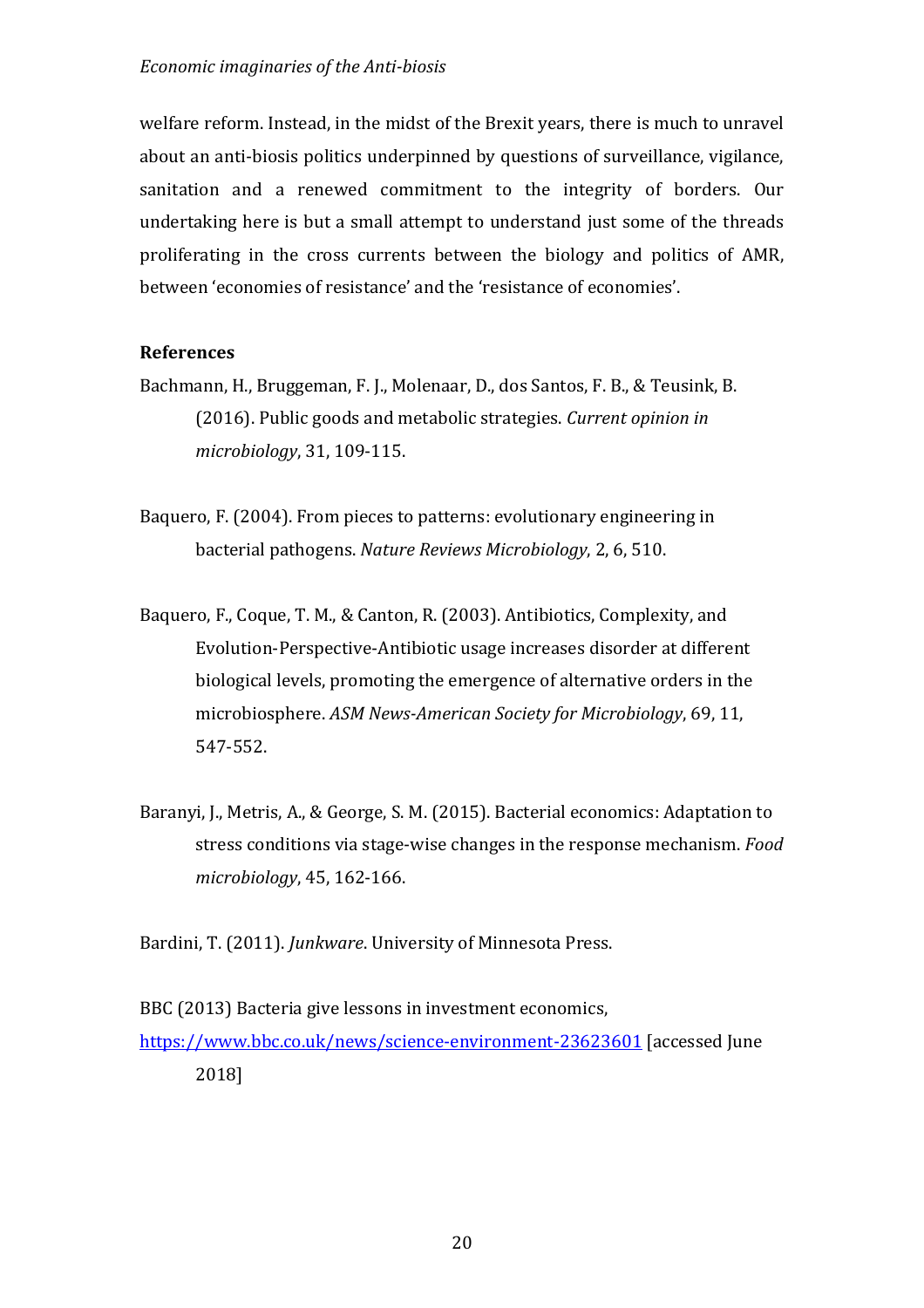welfare reform. Instead, in the midst of the Brexit years, there is much to unravel about an anti-biosis politics underpinned by questions of surveillance, vigilance, sanitation and a renewed commitment to the integrity of borders. Our undertaking here is but a small attempt to understand just some of the threads proliferating in the cross currents between the biology and politics of AMR, between 'economies of resistance' and the 'resistance of economies'.

# **References**

- Bachmann, H., Bruggeman, F. J., Molenaar, D., dos Santos, F. B., & Teusink, B. (2016). Public goods and metabolic strategies. *Current opinion in microbiology*, 31, 109-115.
- Baquero, F. (2004). From pieces to patterns: evolutionary engineering in bacterial pathogens. *Nature Reviews Microbiology*, 2, 6, 510.
- Baquero, F., Coque, T. M., & Canton, R. (2003). Antibiotics, Complexity, and Evolution-Perspective-Antibiotic usage increases disorder at different biological levels, promoting the emergence of alternative orders in the microbiosphere. *ASM News-American Society for Microbiology*, 69, 11, 547-552.
- Baranyi, J., Metris, A., & George, S. M. (2015). Bacterial economics: Adaptation to stress conditions via stage-wise changes in the response mechanism. *Food microbiology*, 45, 162-166.

Bardini, T. (2011). *Junkware*. University of Minnesota Press.

BBC (2013) Bacteria give lessons in investment economics, https://www.bbc.co.uk/news/science-environment-23623601 [accessed June] 2018]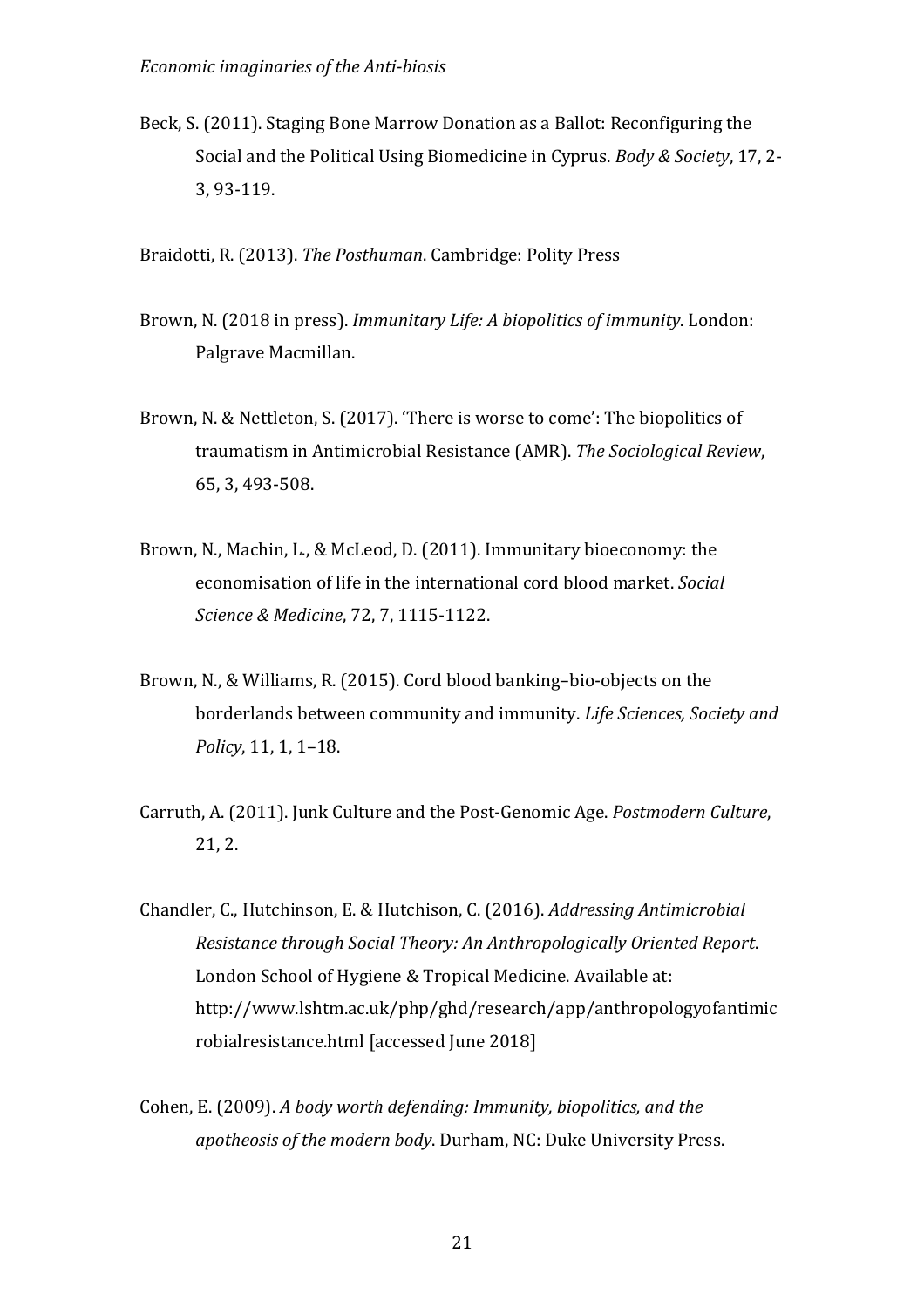Beck, S. (2011). Staging Bone Marrow Donation as a Ballot: Reconfiguring the Social and the Political Using Biomedicine in Cyprus. *Body & Society*, 17, 2-3, 93-119.

Braidotti, R. (2013). *The Posthuman*. Cambridge: Polity Press

- Brown, N. (2018 in press). *Immunitary Life: A biopolitics of immunity*. London: Palgrave Macmillan.
- Brown, N. & Nettleton, S. (2017). 'There is worse to come': The biopolitics of traumatism in Antimicrobial Resistance (AMR). The Sociological Review, 65, 3, 493-508.
- Brown, N., Machin, L., & McLeod, D. (2011). Immunitary bioeconomy: the economisation of life in the international cord blood market. *Social Science & Medicine*, 72, 7, 1115-1122.
- Brown, N., & Williams, R. (2015). Cord blood banking-bio-objects on the borderlands between community and immunity. Life Sciences, Society and *Policy*, 11, 1, 1-18.
- Carruth, A. (2011). Junk Culture and the Post-Genomic Age. *Postmodern Culture*,  $21.2.$
- Chandler, C., Hutchinson, E. & Hutchison, C. (2016). *Addressing Antimicrobial Resistance through Social Theory: An Anthropologically Oriented Report*. London School of Hygiene & Tropical Medicine. Available at: http://www.lshtm.ac.uk/php/ghd/research/app/anthropologyofantimic robialresistance.html [accessed June 2018]
- Cohen, E. (2009). A body worth defending: Immunity, biopolitics, and the *apotheosis of the modern body*. Durham, NC: Duke University Press.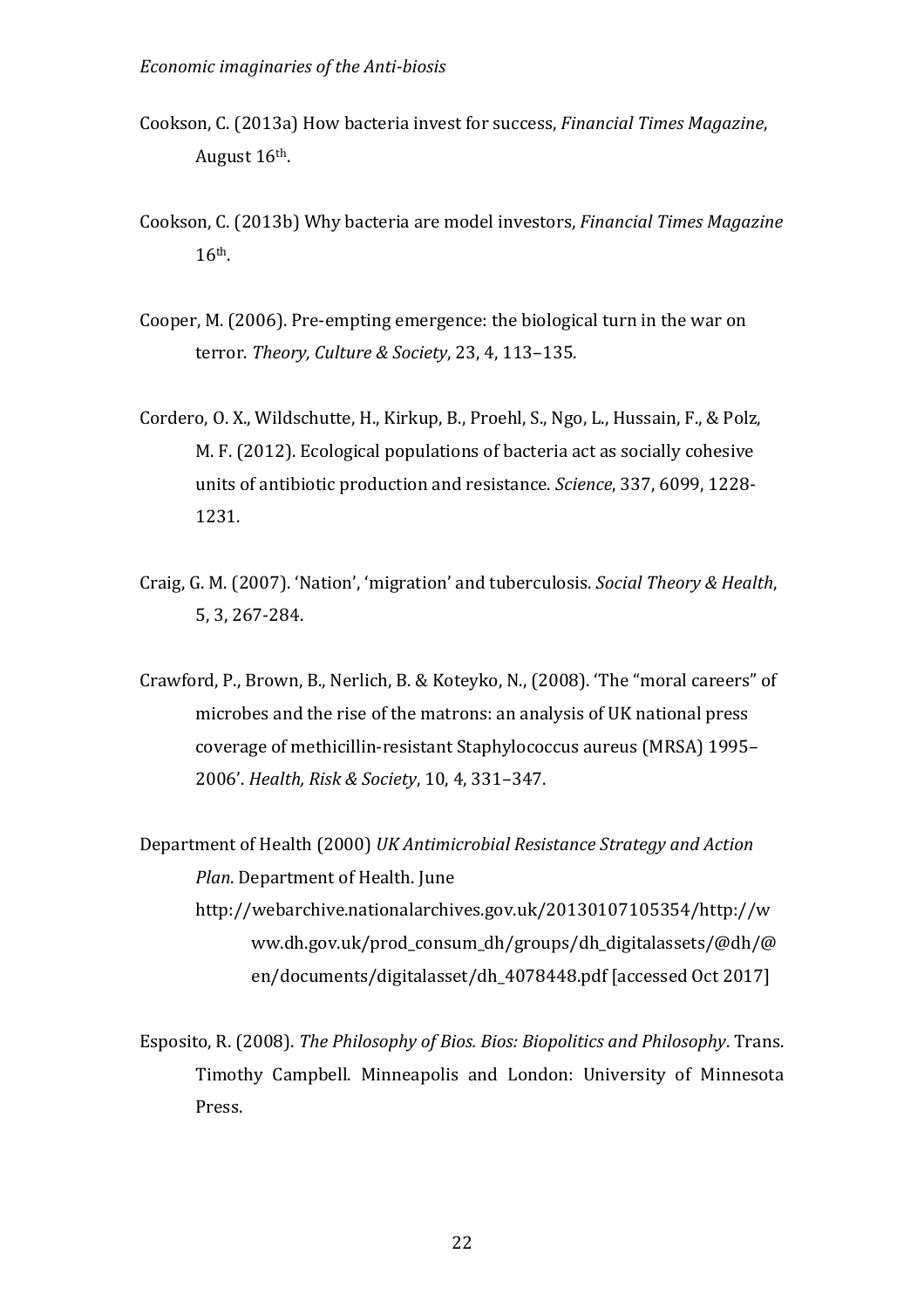- Cookson, C. (2013a) How bacteria invest for success, *Financial Times Magazine*, August 16<sup>th</sup>.
- Cookson, C. (2013b) Why bacteria are model investors, *Financial Times Magazine* 16th.
- Cooper, M. (2006). Pre-empting emergence: the biological turn in the war on terror. *Theory, Culture & Society*, 23, 4, 113-135.
- Cordero, O. X., Wildschutte, H., Kirkup, B., Proehl, S., Ngo, L., Hussain, F., & Polz, M. F. (2012). Ecological populations of bacteria act as socially cohesive units of antibiotic production and resistance. *Science*, 337, 6099, 1228-1231.
- Craig, G. M. (2007). 'Nation', 'migration' and tuberculosis. *Social Theory & Health*, 5, 3, 267-284.
- Crawford, P., Brown, B., Nerlich, B. & Koteyko, N., (2008). 'The "moral careers" of microbes and the rise of the matrons: an analysis of UK national press coverage of methicillin-resistant Staphylococcus aureus (MRSA) 1995-2006'. *Health, Risk & Society*, 10, 4, 331–347.
- Department of Health (2000) *UK Antimicrobial Resistance Strategy and Action Plan.* Department of Health. June http://webarchive.nationalarchives.gov.uk/20130107105354/http://w ww.dh.gov.uk/prod\_consum\_dh/groups/dh\_digitalassets/@dh/@ en/documents/digitalasset/dh\_4078448.pdf [accessed Oct 2017]
- Esposito, R. (2008). *The Philosophy of Bios. Bios: Biopolitics and Philosophy*. Trans. Timothy Campbell. Minneapolis and London: University of Minnesota Press.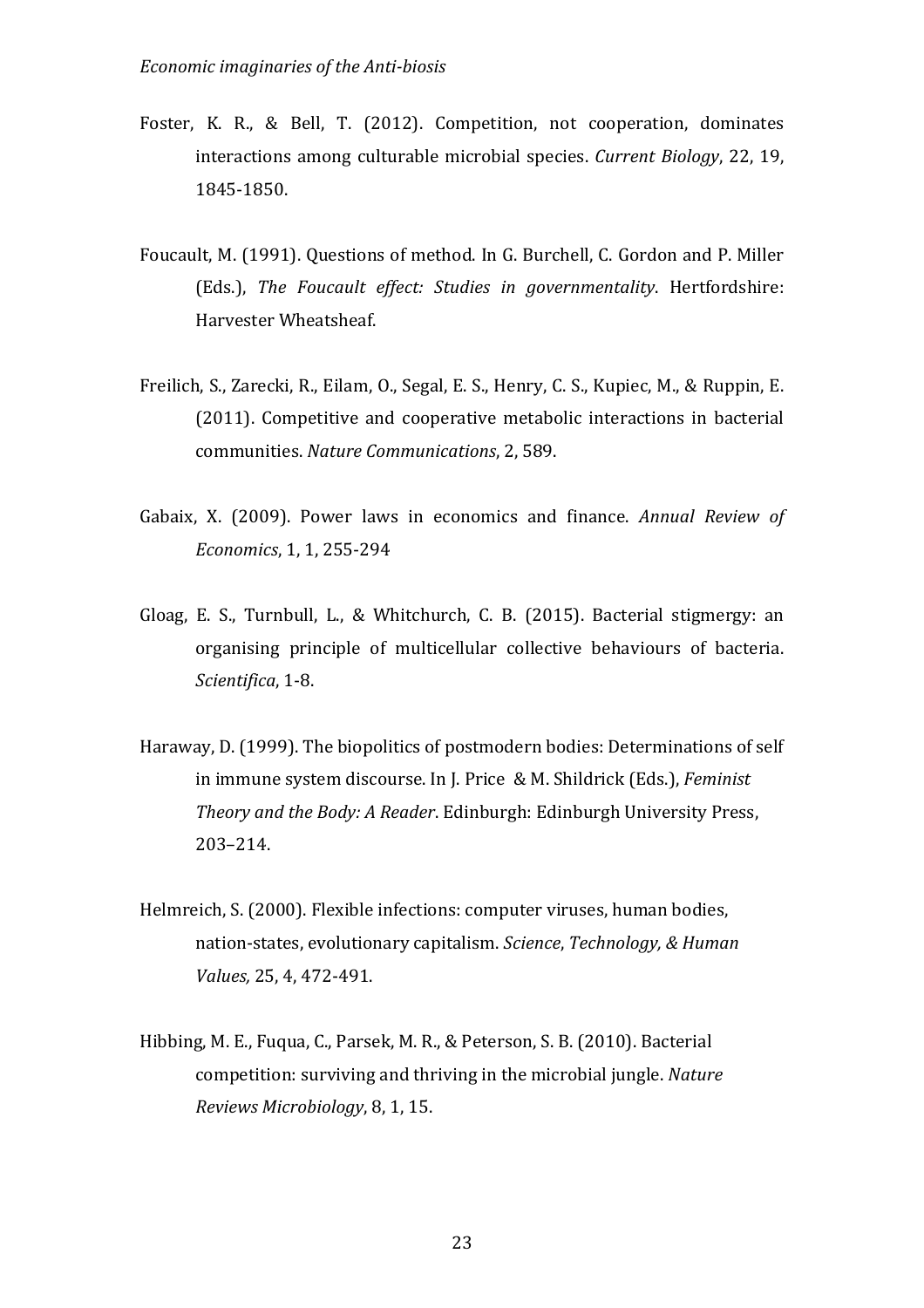- Foster, K. R., & Bell, T. (2012). Competition, not cooperation, dominates interactions among culturable microbial species. *Current Biology*, 22, 19, 1845-1850.
- Foucault, M. (1991). Questions of method. In G. Burchell, C. Gordon and P. Miller (Eds.), The Foucault effect: Studies in governmentality. Hertfordshire: Harvester Wheatsheaf.
- Freilich, S., Zarecki, R., Eilam, O., Segal, E. S., Henry, C. S., Kupiec, M., & Ruppin, E. (2011). Competitive and cooperative metabolic interactions in bacterial communities. *Nature Communications*, 2, 589.
- Gabaix, X. (2009). Power laws in economics and finance. Annual Review of *Economics*, 1, 1, 255-294
- Gloag, E. S., Turnbull, L., & Whitchurch, C. B. (2015). Bacterial stigmergy: an organising principle of multicellular collective behaviours of bacteria. Scientifica, 1-8.
- Haraway, D. (1999). The biopolitics of postmodern bodies: Determinations of self in immune system discourse. In J. Price & M. Shildrick (Eds.), *Feminist Theory and the Body: A Reader.* Edinburgh: Edinburgh University Press, 203–214.
- Helmreich, S. (2000). Flexible infections: computer viruses, human bodies, nation-states, evolutionary capitalism. *Science*, *Technology*, & Human *Values,* 25, 4, 472-491.
- Hibbing, M. E., Fuqua, C., Parsek, M. R., & Peterson, S. B. (2010). Bacterial competition: surviving and thriving in the microbial jungle. Nature *Reviews Microbiology*, 8, 1, 15.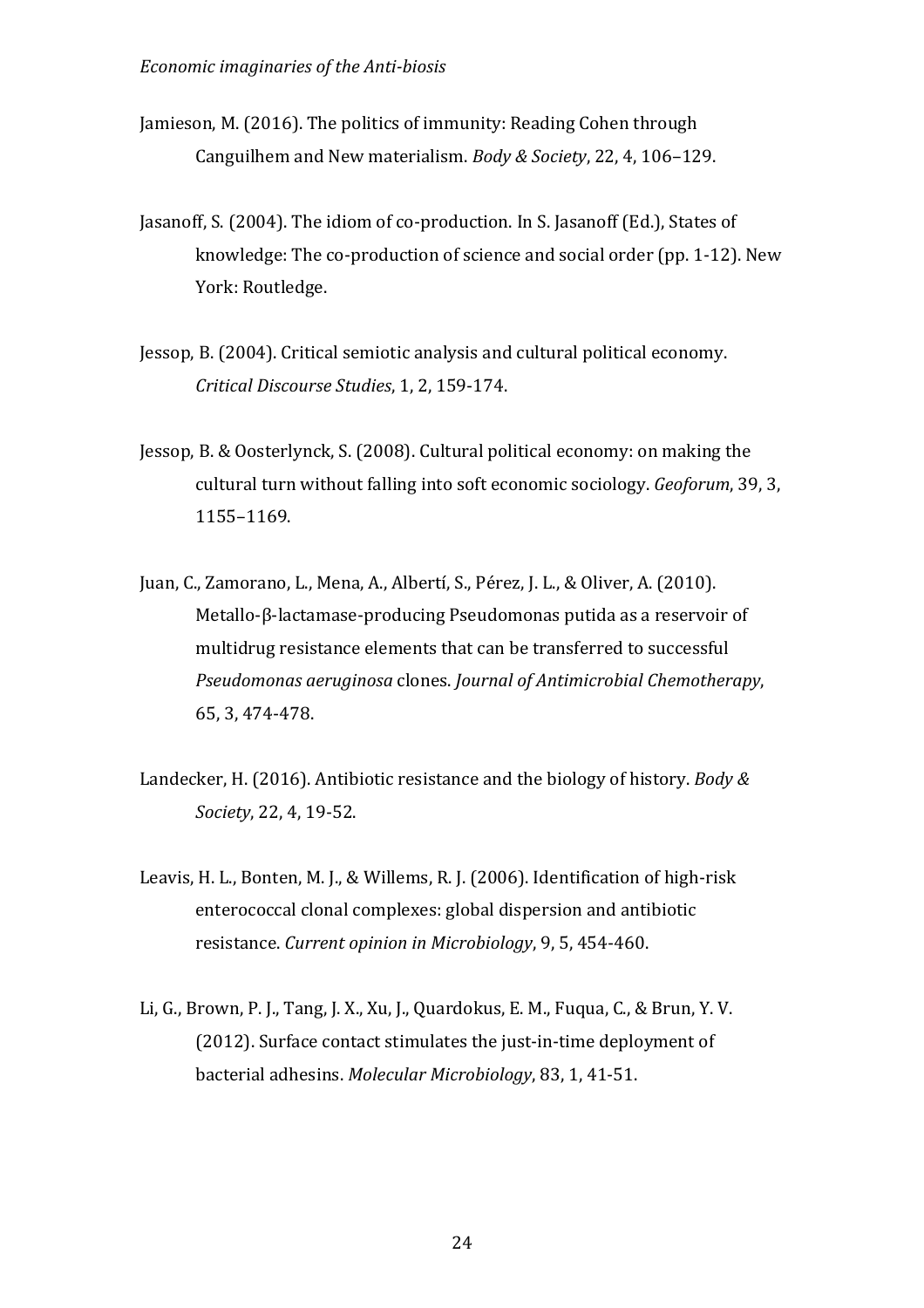- Jamieson, M. (2016). The politics of immunity: Reading Cohen through Canguilhem and New materialism. *Body & Society*, 22, 4, 106-129.
- Jasanoff, S. (2004). The idiom of co-production. In S. Jasanoff (Ed.), States of knowledge: The co-production of science and social order (pp.  $1-12$ ). New York: Routledge.
- Jessop, B. (2004). Critical semiotic analysis and cultural political economy. *Critical Discourse Studies*, 1, 2, 159-174.
- Jessop, B. & Oosterlynck, S. (2008). Cultural political economy: on making the cultural turn without falling into soft economic sociology. *Geoforum*, 39, 3, 1155–1169.
- Juan, C., Zamorano, L., Mena, A., Albertí, S., Pérez, J. L., & Oliver, A. (2010). Metallo-β-lactamase-producing Pseudomonas putida as a reservoir of multidrug resistance elements that can be transferred to successful *Pseudomonas aeruginosa* clones. *Journal of Antimicrobial Chemotherapy*, 65, 3, 474-478.
- Landecker, H. (2016). Antibiotic resistance and the biology of history. *Body & Society*, 22, 4, 19-52.
- Leavis, H. L., Bonten, M. J., & Willems, R. J. (2006). Identification of high-risk enterococcal clonal complexes: global dispersion and antibiotic resistance. *Current opinion in Microbiology*, 9, 5, 454-460.
- Li, G., Brown, P. J., Tang, J. X., Xu, J., Quardokus, E. M., Fuqua, C., & Brun, Y. V. (2012). Surface contact stimulates the just-in-time deployment of bacterial adhesins. *Molecular Microbiology*, 83, 1, 41-51.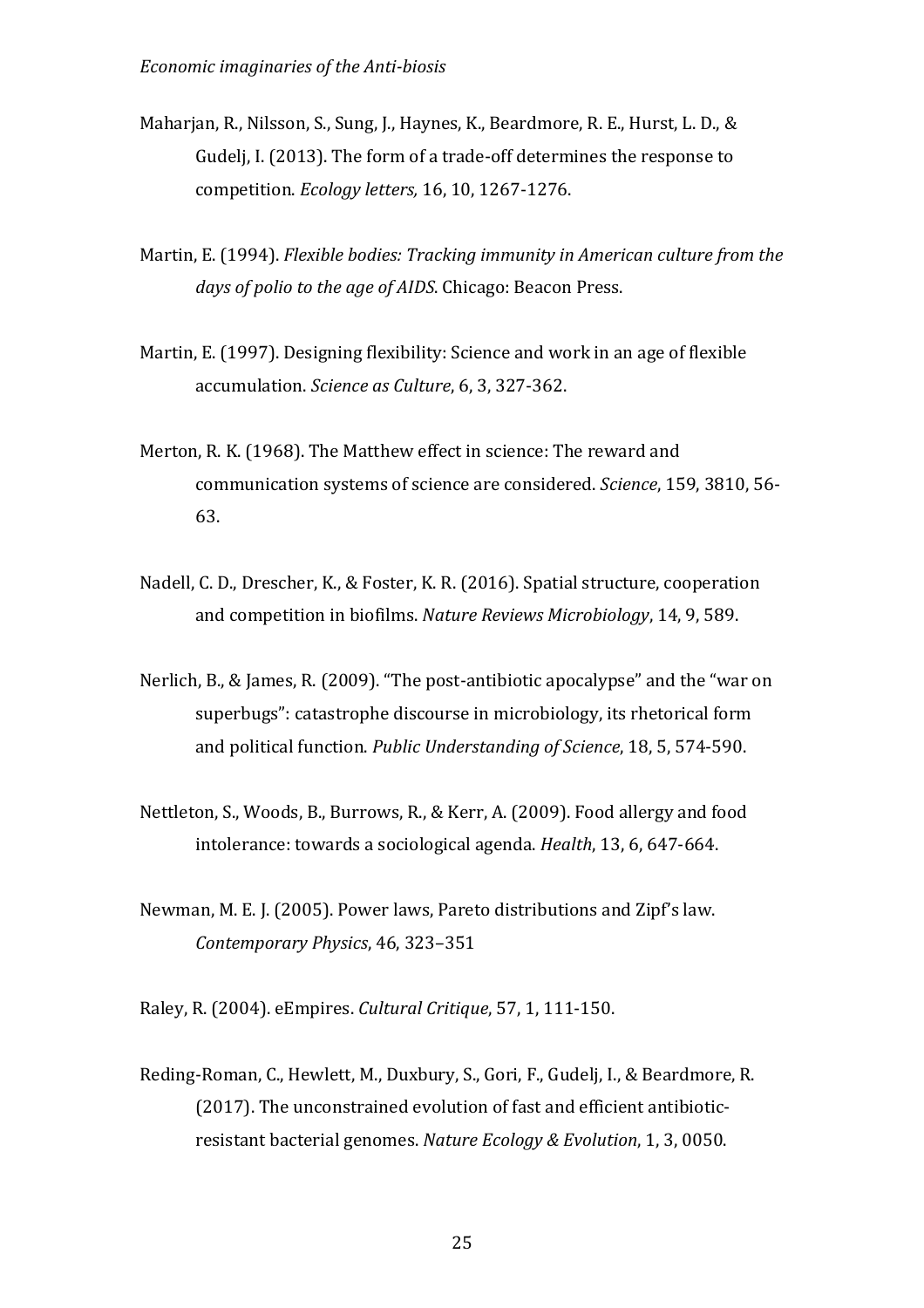- Maharjan, R., Nilsson, S., Sung, J., Haynes, K., Beardmore, R. E., Hurst, L. D., & Gudelj, I. (2013). The form of a trade-off determines the response to competition. *Ecology letters,* 16, 10, 1267-1276.
- Martin, E. (1994). *Flexible bodies: Tracking immunity in American culture from the* days of polio to the age of AIDS. Chicago: Beacon Press.
- Martin, E. (1997). Designing flexibility: Science and work in an age of flexible accumulation. *Science as Culture*, 6, 3, 327-362.
- Merton, R. K. (1968). The Matthew effect in science: The reward and communication systems of science are considered. *Science*, 159, 3810, 56-63.
- Nadell, C. D., Drescher, K., & Foster, K. R. (2016). Spatial structure, cooperation and competition in biofilms. *Nature Reviews Microbiology*, 14, 9, 589.
- Nerlich, B., & James, R. (2009). "The post-antibiotic apocalypse" and the "war on superbugs": catastrophe discourse in microbiology, its rhetorical form and political function. *Public Understanding of Science*, 18, 5, 574-590.
- Nettleton, S., Woods, B., Burrows, R., & Kerr, A. (2009). Food allergy and food intolerance: towards a sociological agenda. *Health*, 13, 6, 647-664.
- Newman, M. E. J. (2005). Power laws, Pareto distributions and Zipf's law. *Contemporary Physics*, 46, 323–351

Raley, R. (2004). eEmpires. *Cultural Critique*, 57, 1, 111-150.

Reding-Roman, C., Hewlett, M., Duxbury, S., Gori, F., Gudelj, I., & Beardmore, R. (2017). The unconstrained evolution of fast and efficient antibioticresistant bacterial genomes. *Nature Ecology & Evolution*, 1, 3, 0050.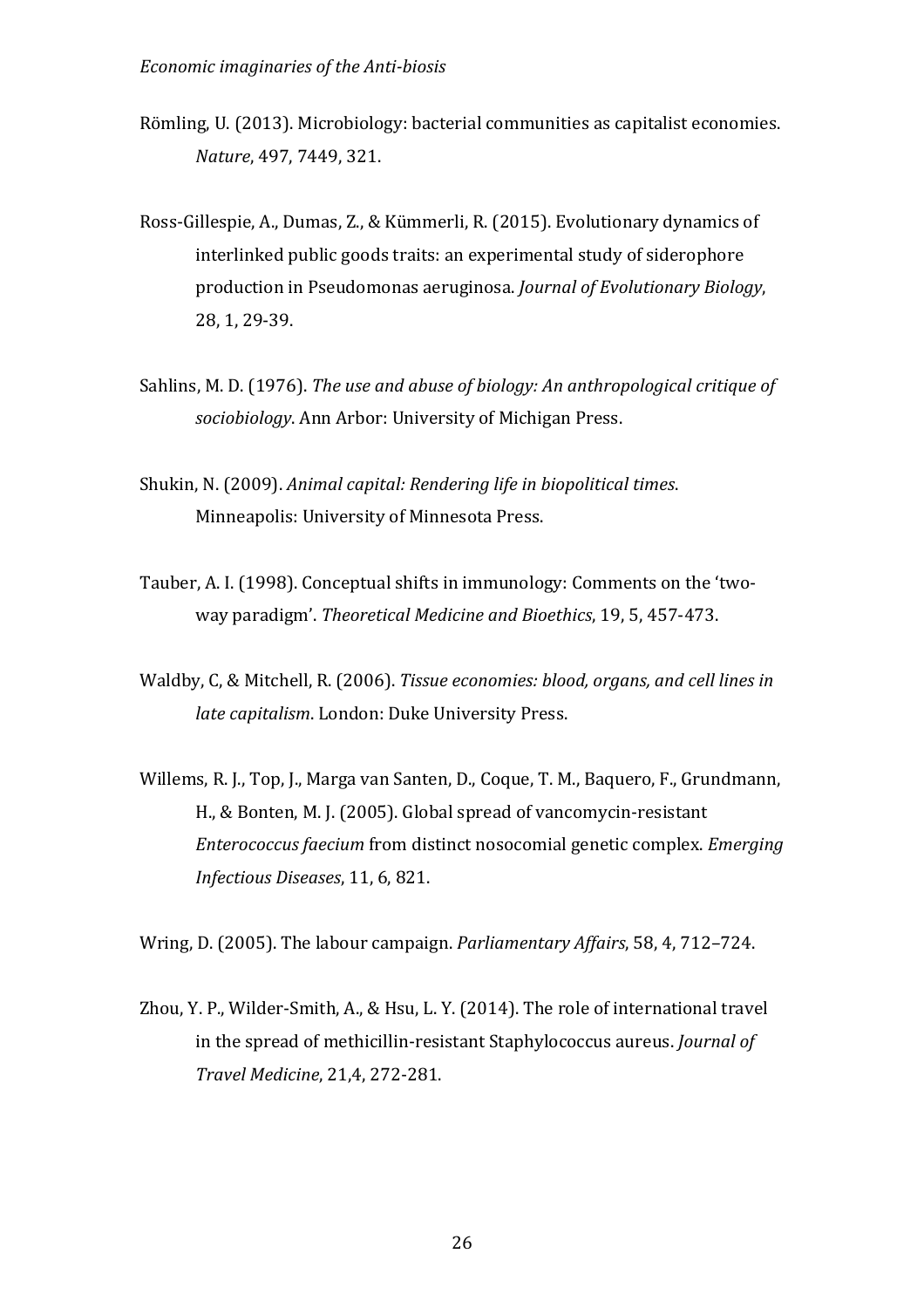- Römling, U. (2013). Microbiology: bacterial communities as capitalist economies. *Nature*, 497, 7449, 321.
- Ross-Gillespie, A., Dumas, Z., & Kümmerli, R. (2015). Evolutionary dynamics of interlinked public goods traits: an experimental study of siderophore production in Pseudomonas aeruginosa. *Journal of Evolutionary Biology*, 28, 1, 29-39.
- Sahlins, M. D. (1976). *The use and abuse of biology: An anthropological critique of* sociobiology. Ann Arbor: University of Michigan Press.
- Shukin, N. (2009). *Animal capital: Rendering life in biopolitical times.* Minneapolis: University of Minnesota Press.
- Tauber, A. I. (1998). Conceptual shifts in immunology: Comments on the 'twoway paradigm'. Theoretical Medicine and Bioethics, 19, 5, 457-473.
- Waldby, C, & Mitchell, R. (2006). *Tissue economies: blood, organs, and cell lines in late capitalism.* London: Duke University Press.
- Willems, R. L. Top, L. Marga van Santen, D., Coque, T. M., Baquero, F., Grundmann, H., & Bonten, M. J. (2005). Global spread of vancomycin-resistant *Enterococcus faecium* from distinct nosocomial genetic complex. *Emerging Infectious Diseases*, 11, 6, 821.

Wring, D. (2005). The labour campaign. *Parliamentary Affairs*, 58, 4, 712–724.

Zhou, Y. P., Wilder-Smith, A., & Hsu, L. Y. (2014). The role of international travel in the spread of methicillin-resistant Staphylococcus aureus. *Journal of Travel Medicine*, 21,4, 272-281.